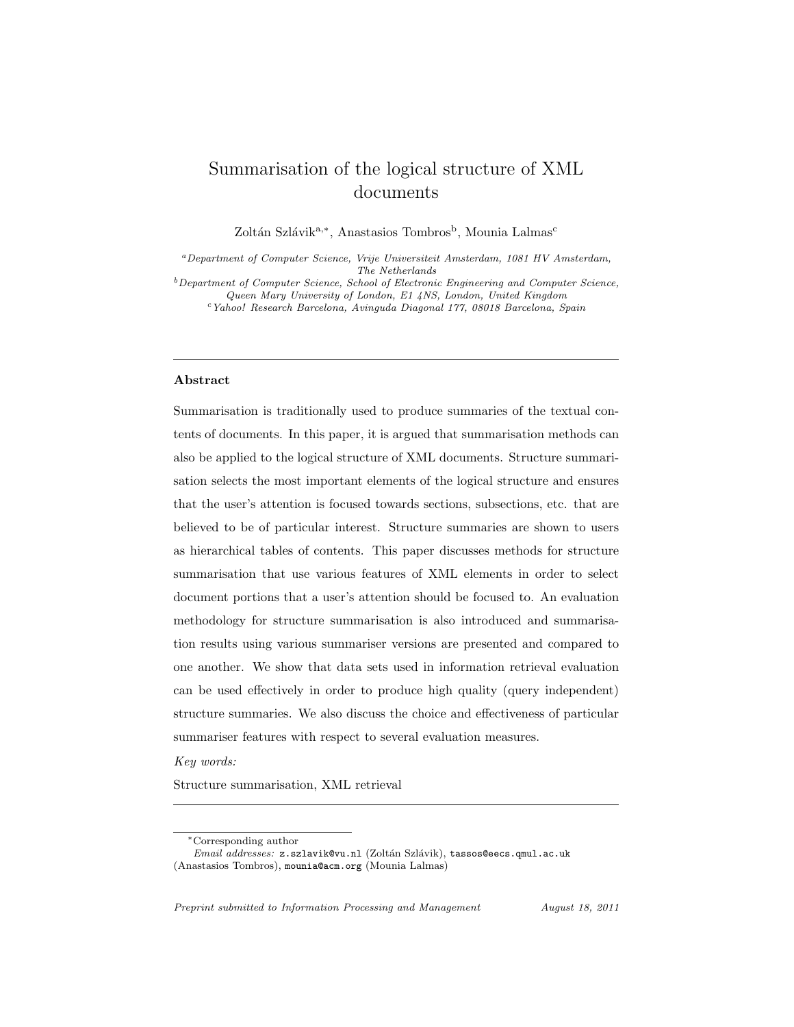# Summarisation of the logical structure of XML documents

Zoltán Szlávik<sup>a,∗</sup>, Anastasios Tombros<sup>b</sup>, Mounia Lalmas<sup>c</sup>

<sup>a</sup>Department of Computer Science, Vrije Universiteit Amsterdam, 1081 HV Amsterdam, The Netherlands

 $b$ Department of Computer Science, School of Electronic Engineering and Computer Science, Queen Mary University of London, E1 4NS, London, United Kingdom

<sup>c</sup>Yahoo! Research Barcelona, Avinguda Diagonal 177, 08018 Barcelona, Spain

#### Abstract

Summarisation is traditionally used to produce summaries of the textual contents of documents. In this paper, it is argued that summarisation methods can also be applied to the logical structure of XML documents. Structure summarisation selects the most important elements of the logical structure and ensures that the user's attention is focused towards sections, subsections, etc. that are believed to be of particular interest. Structure summaries are shown to users as hierarchical tables of contents. This paper discusses methods for structure summarisation that use various features of XML elements in order to select document portions that a user's attention should be focused to. An evaluation methodology for structure summarisation is also introduced and summarisation results using various summariser versions are presented and compared to one another. We show that data sets used in information retrieval evaluation can be used effectively in order to produce high quality (query independent) structure summaries. We also discuss the choice and effectiveness of particular summariser features with respect to several evaluation measures.

Key words:

Structure summarisation, XML retrieval

Preprint submitted to Information Processing and Management August 18, 2011

<sup>∗</sup>Corresponding author

Email addresses: z.szlavik@vu.nl (Zoltán Szlávik), tassos@eecs.qmul.ac.uk (Anastasios Tombros), mounia@acm.org (Mounia Lalmas)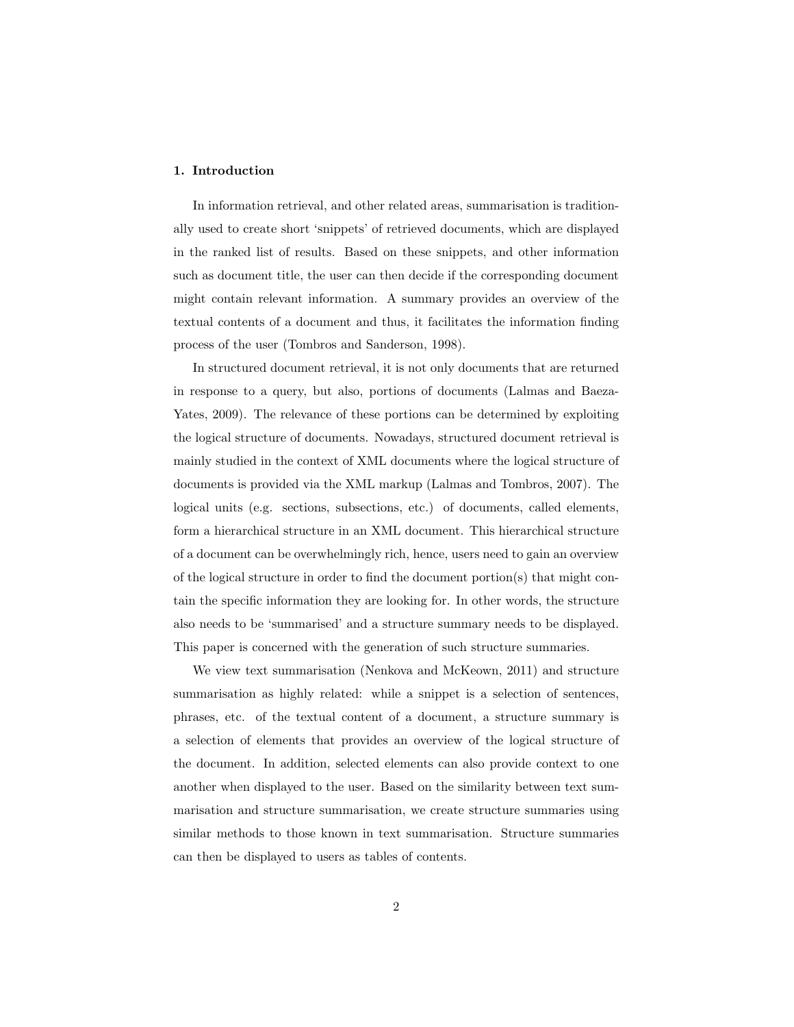## 1. Introduction

In information retrieval, and other related areas, summarisation is traditionally used to create short 'snippets' of retrieved documents, which are displayed in the ranked list of results. Based on these snippets, and other information such as document title, the user can then decide if the corresponding document might contain relevant information. A summary provides an overview of the textual contents of a document and thus, it facilitates the information finding process of the user (Tombros and Sanderson, 1998).

In structured document retrieval, it is not only documents that are returned in response to a query, but also, portions of documents (Lalmas and Baeza-Yates, 2009). The relevance of these portions can be determined by exploiting the logical structure of documents. Nowadays, structured document retrieval is mainly studied in the context of XML documents where the logical structure of documents is provided via the XML markup (Lalmas and Tombros, 2007). The logical units (e.g. sections, subsections, etc.) of documents, called elements, form a hierarchical structure in an XML document. This hierarchical structure of a document can be overwhelmingly rich, hence, users need to gain an overview of the logical structure in order to find the document portion(s) that might contain the specific information they are looking for. In other words, the structure also needs to be 'summarised' and a structure summary needs to be displayed. This paper is concerned with the generation of such structure summaries.

We view text summarisation (Nenkova and McKeown, 2011) and structure summarisation as highly related: while a snippet is a selection of sentences, phrases, etc. of the textual content of a document, a structure summary is a selection of elements that provides an overview of the logical structure of the document. In addition, selected elements can also provide context to one another when displayed to the user. Based on the similarity between text summarisation and structure summarisation, we create structure summaries using similar methods to those known in text summarisation. Structure summaries can then be displayed to users as tables of contents.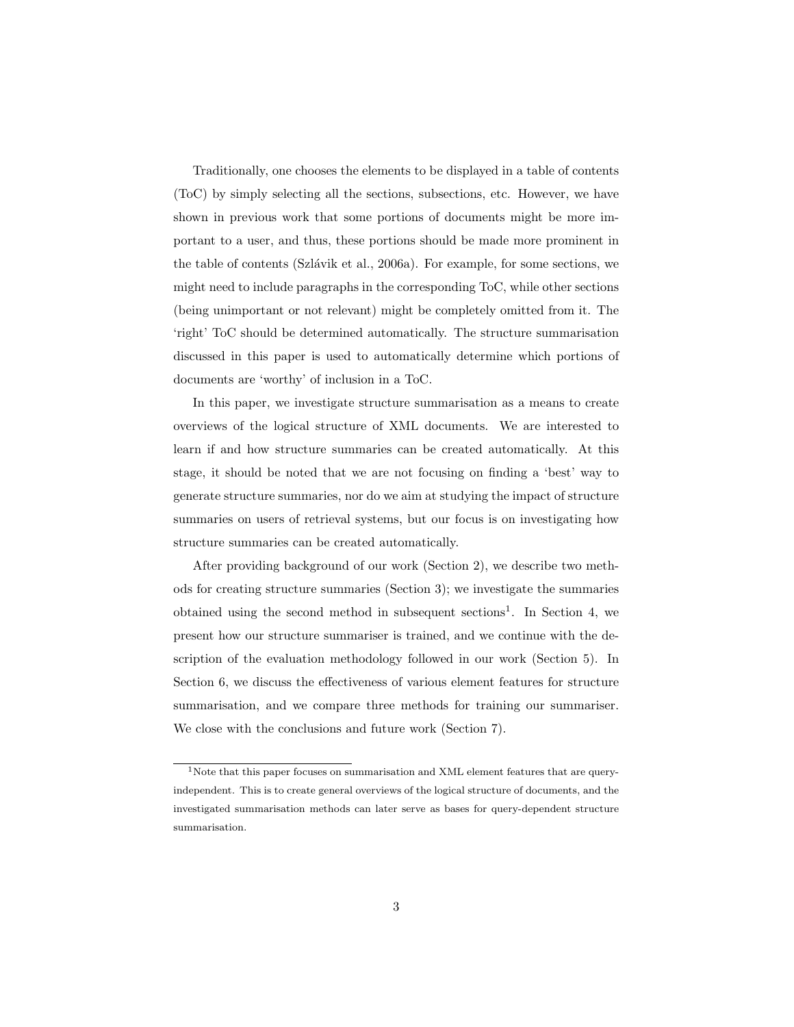Traditionally, one chooses the elements to be displayed in a table of contents (ToC) by simply selecting all the sections, subsections, etc. However, we have shown in previous work that some portions of documents might be more important to a user, and thus, these portions should be made more prominent in the table of contents (Szlávik et al., 2006a). For example, for some sections, we might need to include paragraphs in the corresponding ToC, while other sections (being unimportant or not relevant) might be completely omitted from it. The 'right' ToC should be determined automatically. The structure summarisation discussed in this paper is used to automatically determine which portions of documents are 'worthy' of inclusion in a ToC.

In this paper, we investigate structure summarisation as a means to create overviews of the logical structure of XML documents. We are interested to learn if and how structure summaries can be created automatically. At this stage, it should be noted that we are not focusing on finding a 'best' way to generate structure summaries, nor do we aim at studying the impact of structure summaries on users of retrieval systems, but our focus is on investigating how structure summaries can be created automatically.

After providing background of our work (Section 2), we describe two methods for creating structure summaries (Section 3); we investigate the summaries obtained using the second method in subsequent sections<sup>1</sup>. In Section 4, we present how our structure summariser is trained, and we continue with the description of the evaluation methodology followed in our work (Section 5). In Section 6, we discuss the effectiveness of various element features for structure summarisation, and we compare three methods for training our summariser. We close with the conclusions and future work (Section 7).

 $^{\rm 1}\!$  Note that this paper focuses on summarisation and XML element features that are queryindependent. This is to create general overviews of the logical structure of documents, and the investigated summarisation methods can later serve as bases for query-dependent structure summarisation.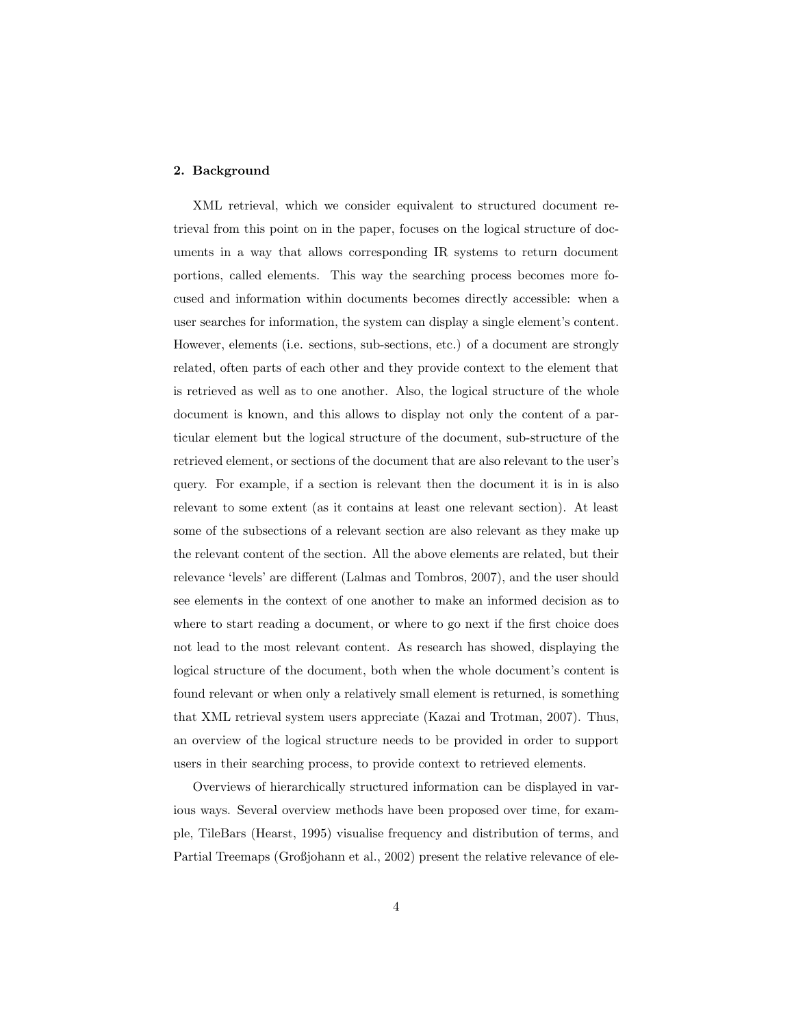## 2. Background

XML retrieval, which we consider equivalent to structured document retrieval from this point on in the paper, focuses on the logical structure of documents in a way that allows corresponding IR systems to return document portions, called elements. This way the searching process becomes more focused and information within documents becomes directly accessible: when a user searches for information, the system can display a single element's content. However, elements (i.e. sections, sub-sections, etc.) of a document are strongly related, often parts of each other and they provide context to the element that is retrieved as well as to one another. Also, the logical structure of the whole document is known, and this allows to display not only the content of a particular element but the logical structure of the document, sub-structure of the retrieved element, or sections of the document that are also relevant to the user's query. For example, if a section is relevant then the document it is in is also relevant to some extent (as it contains at least one relevant section). At least some of the subsections of a relevant section are also relevant as they make up the relevant content of the section. All the above elements are related, but their relevance 'levels' are different (Lalmas and Tombros, 2007), and the user should see elements in the context of one another to make an informed decision as to where to start reading a document, or where to go next if the first choice does not lead to the most relevant content. As research has showed, displaying the logical structure of the document, both when the whole document's content is found relevant or when only a relatively small element is returned, is something that XML retrieval system users appreciate (Kazai and Trotman, 2007). Thus, an overview of the logical structure needs to be provided in order to support users in their searching process, to provide context to retrieved elements.

Overviews of hierarchically structured information can be displayed in various ways. Several overview methods have been proposed over time, for example, TileBars (Hearst, 1995) visualise frequency and distribution of terms, and Partial Treemaps (Großjohann et al., 2002) present the relative relevance of ele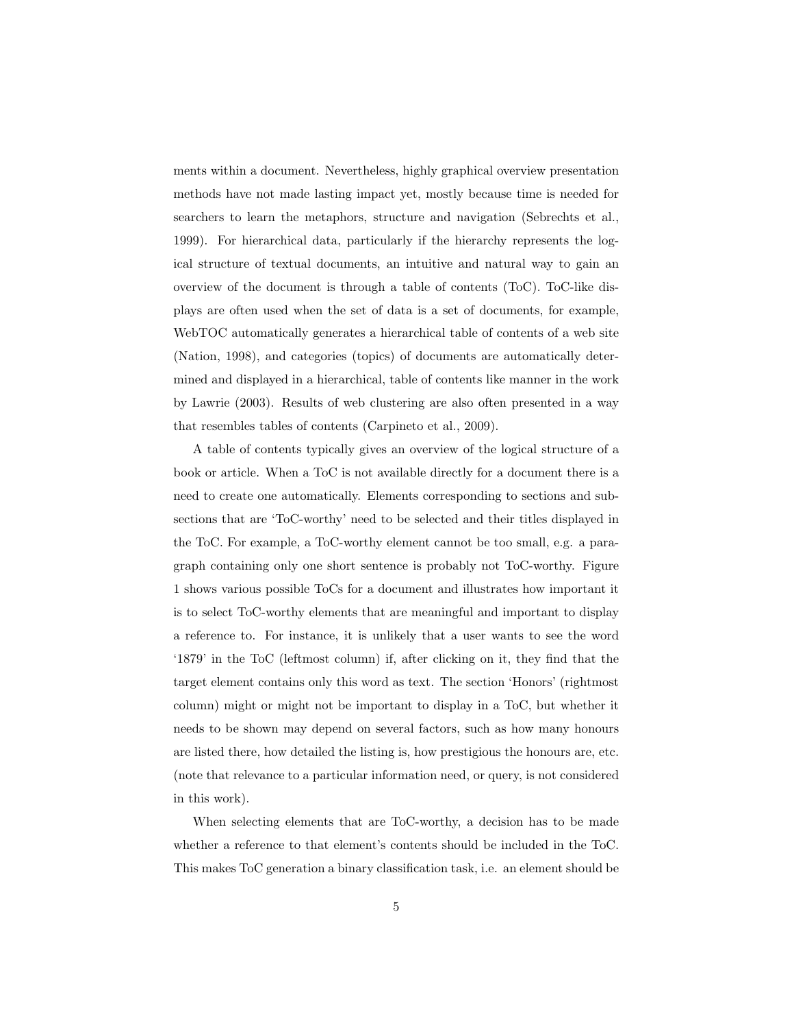ments within a document. Nevertheless, highly graphical overview presentation methods have not made lasting impact yet, mostly because time is needed for searchers to learn the metaphors, structure and navigation (Sebrechts et al., 1999). For hierarchical data, particularly if the hierarchy represents the logical structure of textual documents, an intuitive and natural way to gain an overview of the document is through a table of contents (ToC). ToC-like displays are often used when the set of data is a set of documents, for example, WebTOC automatically generates a hierarchical table of contents of a web site (Nation, 1998), and categories (topics) of documents are automatically determined and displayed in a hierarchical, table of contents like manner in the work by Lawrie (2003). Results of web clustering are also often presented in a way that resembles tables of contents (Carpineto et al., 2009).

A table of contents typically gives an overview of the logical structure of a book or article. When a ToC is not available directly for a document there is a need to create one automatically. Elements corresponding to sections and subsections that are 'ToC-worthy' need to be selected and their titles displayed in the ToC. For example, a ToC-worthy element cannot be too small, e.g. a paragraph containing only one short sentence is probably not ToC-worthy. Figure 1 shows various possible ToCs for a document and illustrates how important it is to select ToC-worthy elements that are meaningful and important to display a reference to. For instance, it is unlikely that a user wants to see the word '1879' in the ToC (leftmost column) if, after clicking on it, they find that the target element contains only this word as text. The section 'Honors' (rightmost column) might or might not be important to display in a ToC, but whether it needs to be shown may depend on several factors, such as how many honours are listed there, how detailed the listing is, how prestigious the honours are, etc. (note that relevance to a particular information need, or query, is not considered in this work).

When selecting elements that are ToC-worthy, a decision has to be made whether a reference to that element's contents should be included in the ToC. This makes ToC generation a binary classification task, i.e. an element should be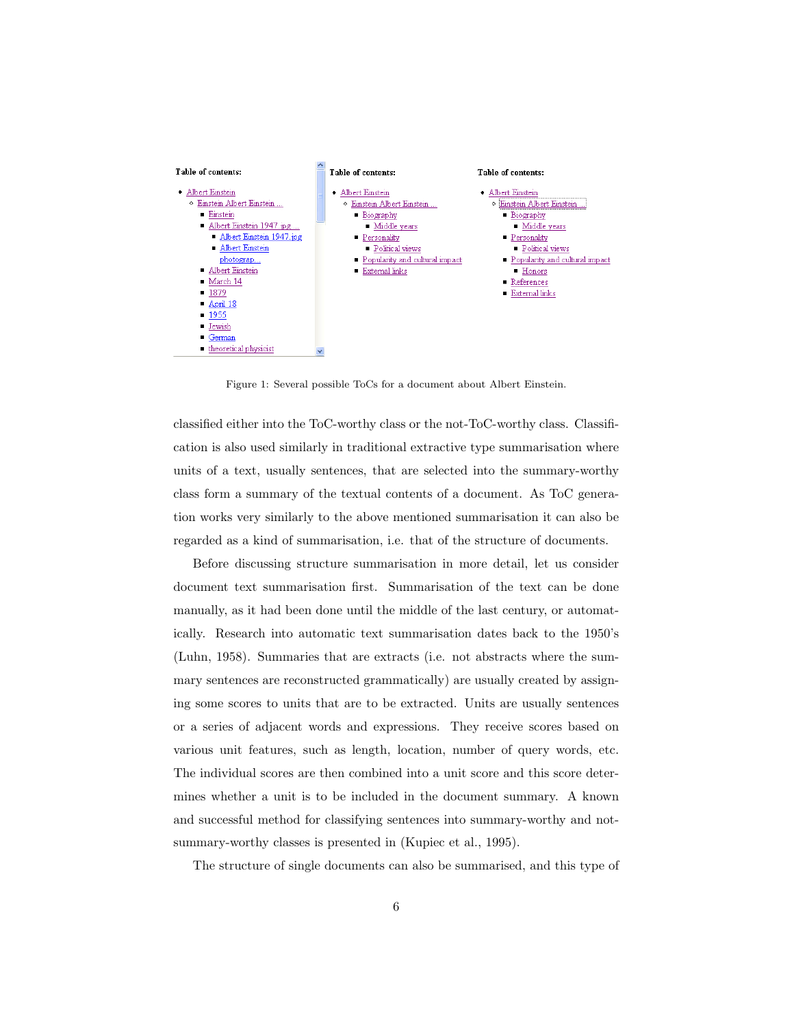

Figure 1: Several possible ToCs for a document about Albert Einstein.

classified either into the ToC-worthy class or the not-ToC-worthy class. Classification is also used similarly in traditional extractive type summarisation where units of a text, usually sentences, that are selected into the summary-worthy class form a summary of the textual contents of a document. As ToC generation works very similarly to the above mentioned summarisation it can also be regarded as a kind of summarisation, i.e. that of the structure of documents.

Before discussing structure summarisation in more detail, let us consider document text summarisation first. Summarisation of the text can be done manually, as it had been done until the middle of the last century, or automatically. Research into automatic text summarisation dates back to the 1950's (Luhn, 1958). Summaries that are extracts (i.e. not abstracts where the summary sentences are reconstructed grammatically) are usually created by assigning some scores to units that are to be extracted. Units are usually sentences or a series of adjacent words and expressions. They receive scores based on various unit features, such as length, location, number of query words, etc. The individual scores are then combined into a unit score and this score determines whether a unit is to be included in the document summary. A known and successful method for classifying sentences into summary-worthy and notsummary-worthy classes is presented in (Kupiec et al., 1995).

The structure of single documents can also be summarised, and this type of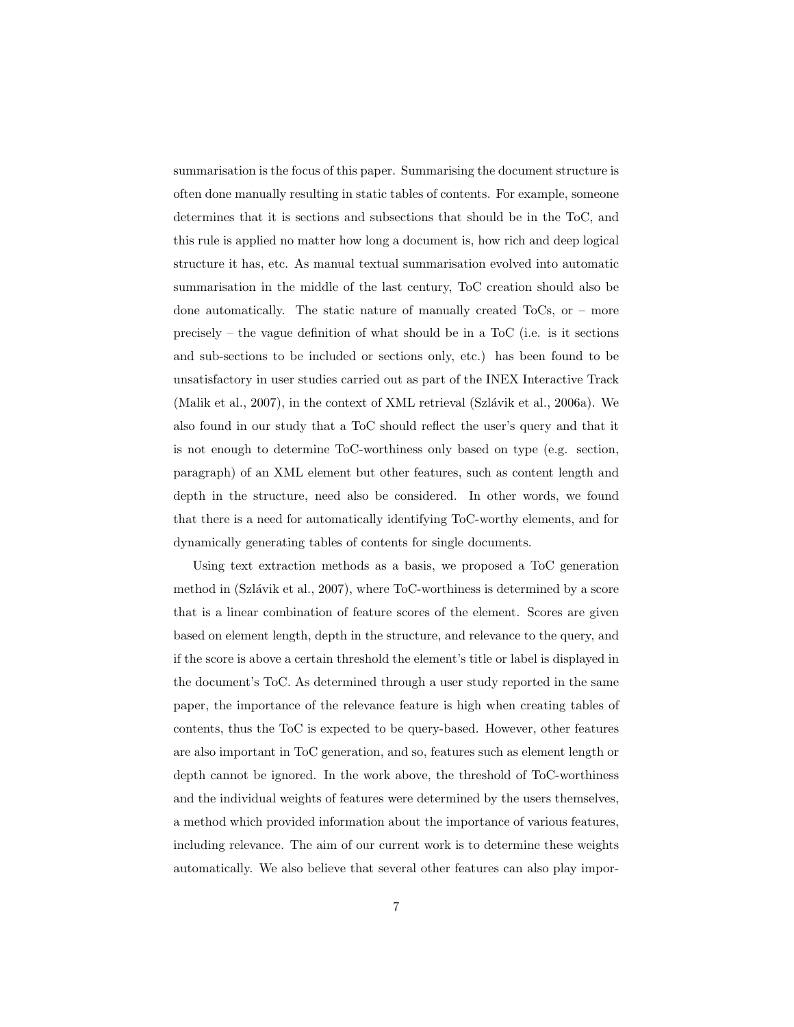summarisation is the focus of this paper. Summarising the document structure is often done manually resulting in static tables of contents. For example, someone determines that it is sections and subsections that should be in the ToC, and this rule is applied no matter how long a document is, how rich and deep logical structure it has, etc. As manual textual summarisation evolved into automatic summarisation in the middle of the last century, ToC creation should also be done automatically. The static nature of manually created ToCs, or – more precisely – the vague definition of what should be in a ToC (i.e. is it sections and sub-sections to be included or sections only, etc.) has been found to be unsatisfactory in user studies carried out as part of the INEX Interactive Track (Malik et al., 2007), in the context of XML retrieval (Szlávik et al., 2006a). We also found in our study that a ToC should reflect the user's query and that it is not enough to determine ToC-worthiness only based on type (e.g. section, paragraph) of an XML element but other features, such as content length and depth in the structure, need also be considered. In other words, we found that there is a need for automatically identifying ToC-worthy elements, and for dynamically generating tables of contents for single documents.

Using text extraction methods as a basis, we proposed a ToC generation method in (Szlávik et al., 2007), where ToC-worthiness is determined by a score that is a linear combination of feature scores of the element. Scores are given based on element length, depth in the structure, and relevance to the query, and if the score is above a certain threshold the element's title or label is displayed in the document's ToC. As determined through a user study reported in the same paper, the importance of the relevance feature is high when creating tables of contents, thus the ToC is expected to be query-based. However, other features are also important in ToC generation, and so, features such as element length or depth cannot be ignored. In the work above, the threshold of ToC-worthiness and the individual weights of features were determined by the users themselves, a method which provided information about the importance of various features, including relevance. The aim of our current work is to determine these weights automatically. We also believe that several other features can also play impor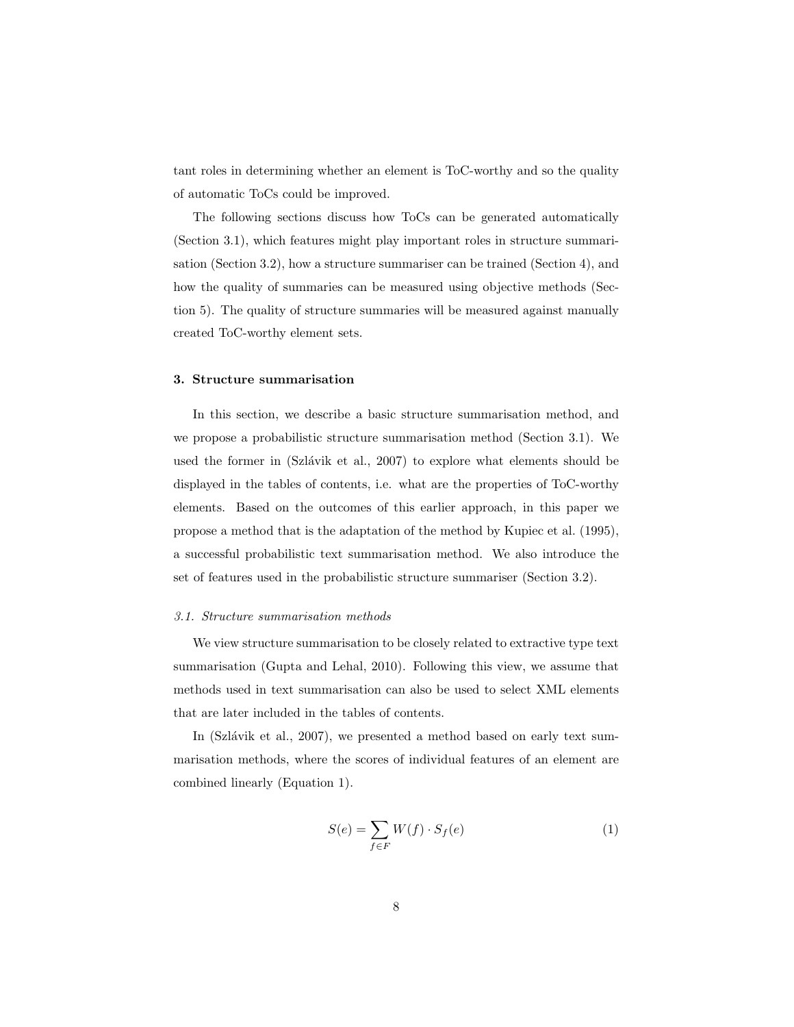tant roles in determining whether an element is ToC-worthy and so the quality of automatic ToCs could be improved.

The following sections discuss how ToCs can be generated automatically (Section 3.1), which features might play important roles in structure summarisation (Section 3.2), how a structure summariser can be trained (Section 4), and how the quality of summaries can be measured using objective methods (Section 5). The quality of structure summaries will be measured against manually created ToC-worthy element sets.

#### 3. Structure summarisation

In this section, we describe a basic structure summarisation method, and we propose a probabilistic structure summarisation method (Section 3.1). We used the former in (Szlávik et al., 2007) to explore what elements should be displayed in the tables of contents, i.e. what are the properties of ToC-worthy elements. Based on the outcomes of this earlier approach, in this paper we propose a method that is the adaptation of the method by Kupiec et al. (1995), a successful probabilistic text summarisation method. We also introduce the set of features used in the probabilistic structure summariser (Section 3.2).

#### 3.1. Structure summarisation methods

We view structure summarisation to be closely related to extractive type text summarisation (Gupta and Lehal, 2010). Following this view, we assume that methods used in text summarisation can also be used to select XML elements that are later included in the tables of contents.

In  $(Szlávik et al., 2007)$ , we presented a method based on early text summarisation methods, where the scores of individual features of an element are combined linearly (Equation 1).

$$
S(e) = \sum_{f \in F} W(f) \cdot S_f(e) \tag{1}
$$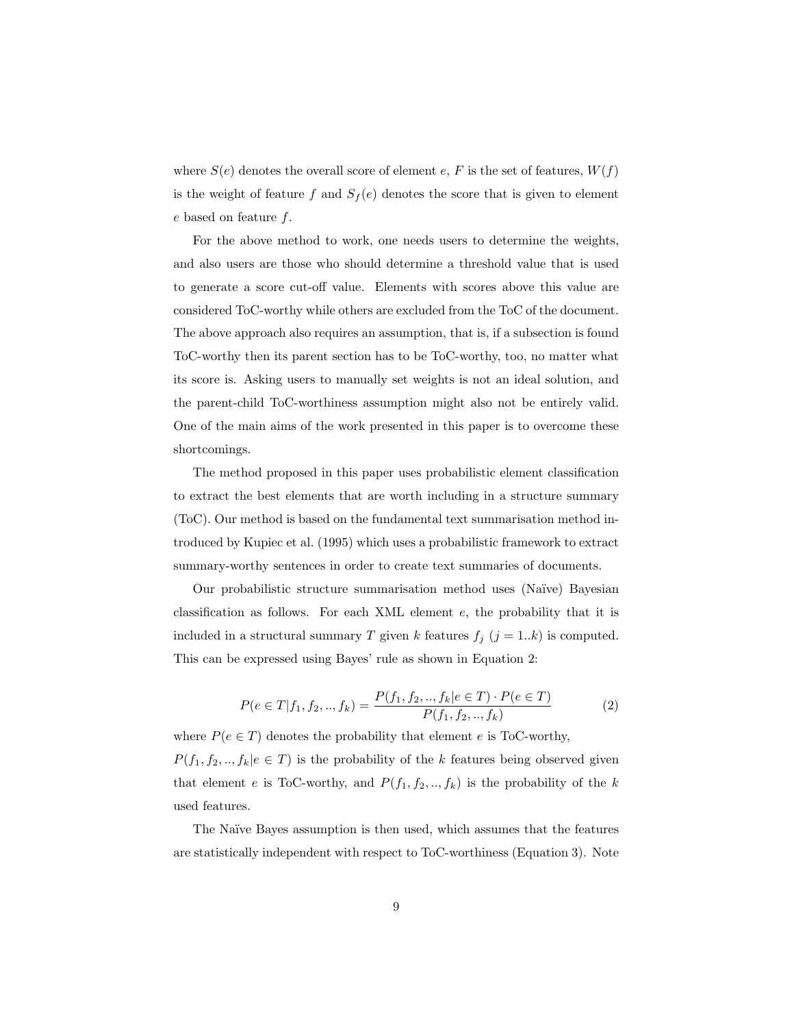where  $S(e)$  denotes the overall score of element e, F is the set of features,  $W(f)$ is the weight of feature f and  $S_f(e)$  denotes the score that is given to element e based on feature f.

For the above method to work, one needs users to determine the weights, and also users are those who should determine a threshold value that is used to generate a score cut-off value. Elements with scores above this value are considered ToC-worthy while others are excluded from the ToC of the document. The above approach also requires an assumption, that is, if a subsection is found ToC-worthy then its parent section has to be ToC-worthy, too, no matter what its score is. Asking users to manually set weights is not an ideal solution, and the parent-child ToC-worthiness assumption might also not be entirely valid. One of the main aims of the work presented in this paper is to overcome these shortcomings.

The method proposed in this paper uses probabilistic element classification to extract the best elements that are worth including in a structure summary (ToC). Our method is based on the fundamental text summarisation method introduced by Kupiec et al. (1995) which uses a probabilistic framework to extract summary-worthy sentences in order to create text summaries of documents.

Our probabilistic structure summarisation method uses (Na¨ıve) Bayesian classification as follows. For each XML element e, the probability that it is included in a structural summary T given k features  $f_j$   $(j = 1..k)$  is computed. This can be expressed using Bayes' rule as shown in Equation 2:

$$
P(e \in T | f_1, f_2, ..., f_k) = \frac{P(f_1, f_2, ..., f_k | e \in T) \cdot P(e \in T)}{P(f_1, f_2, ..., f_k)}
$$
(2)

where  $P(e \in T)$  denotes the probability that element e is ToC-worthy,  $P(f_1, f_2, \ldots, f_k | e \in T)$  is the probability of the k features being observed given that element e is ToC-worthy, and  $P(f_1, f_2, ..., f_k)$  is the probability of the k used features.

The Naïve Bayes assumption is then used, which assumes that the features are statistically independent with respect to ToC-worthiness (Equation 3). Note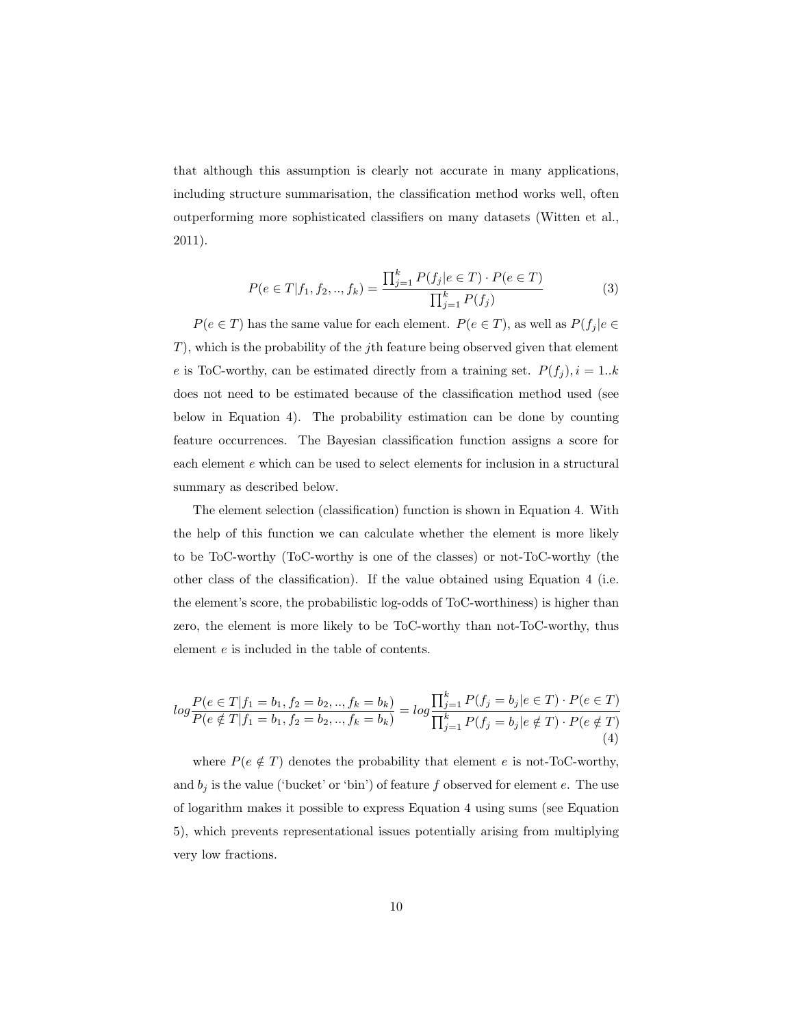that although this assumption is clearly not accurate in many applications, including structure summarisation, the classification method works well, often outperforming more sophisticated classifiers on many datasets (Witten et al., 2011).

$$
P(e \in T | f_1, f_2, ..., f_k) = \frac{\prod_{j=1}^k P(f_j | e \in T) \cdot P(e \in T)}{\prod_{j=1}^k P(f_j)}
$$
(3)

 $P(e \in T)$  has the same value for each element.  $P(e \in T)$ , as well as  $P(f_j | e \in T)$  $T$ ), which is the probability of the *j*th feature being observed given that element e is ToC-worthy, can be estimated directly from a training set.  $P(f_j)$ ,  $i = 1..k$ does not need to be estimated because of the classification method used (see below in Equation 4). The probability estimation can be done by counting feature occurrences. The Bayesian classification function assigns a score for each element e which can be used to select elements for inclusion in a structural summary as described below.

The element selection (classification) function is shown in Equation 4. With the help of this function we can calculate whether the element is more likely to be ToC-worthy (ToC-worthy is one of the classes) or not-ToC-worthy (the other class of the classification). If the value obtained using Equation 4 (i.e. the element's score, the probabilistic log-odds of ToC-worthiness) is higher than zero, the element is more likely to be ToC-worthy than not-ToC-worthy, thus element e is included in the table of contents.

$$
log \frac{P(e \in T | f_1 = b_1, f_2 = b_2, ..., f_k = b_k)}{P(e \notin T | f_1 = b_1, f_2 = b_2, ..., f_k = b_k)} = log \frac{\prod_{j=1}^k P(f_j = b_j | e \in T) \cdot P(e \in T)}{\prod_{j=1}^k P(f_j = b_j | e \notin T) \cdot P(e \notin T)}
$$
\n(4)

where  $P(e \notin T)$  denotes the probability that element e is not-ToC-worthy, and  $b_j$  is the value ('bucket' or 'bin') of feature f observed for element e. The use of logarithm makes it possible to express Equation 4 using sums (see Equation 5), which prevents representational issues potentially arising from multiplying very low fractions.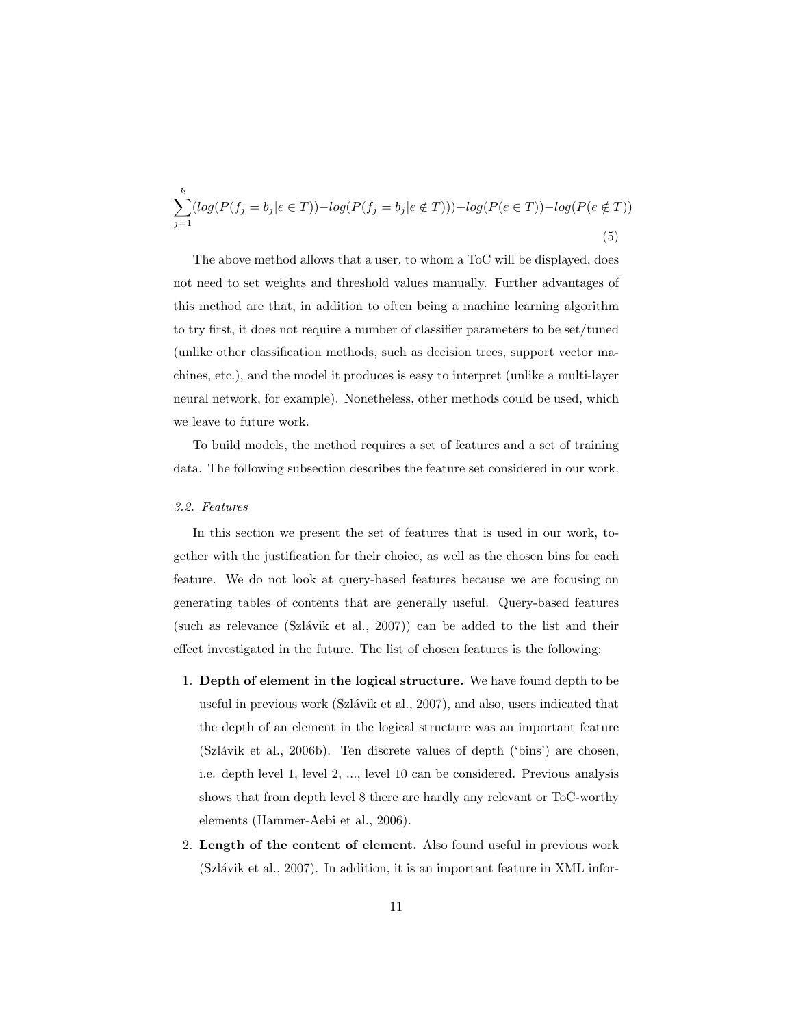$$
\sum_{j=1}^{k} (log(P(f_j = b_j | e \in T)) - log(P(f_j = b_j | e \notin T))) + log(P(e \in T)) - log(P(e \notin T))
$$
\n(5)

The above method allows that a user, to whom a ToC will be displayed, does not need to set weights and threshold values manually. Further advantages of this method are that, in addition to often being a machine learning algorithm to try first, it does not require a number of classifier parameters to be set/tuned (unlike other classification methods, such as decision trees, support vector machines, etc.), and the model it produces is easy to interpret (unlike a multi-layer neural network, for example). Nonetheless, other methods could be used, which we leave to future work.

To build models, the method requires a set of features and a set of training data. The following subsection describes the feature set considered in our work.

### 3.2. Features

In this section we present the set of features that is used in our work, together with the justification for their choice, as well as the chosen bins for each feature. We do not look at query-based features because we are focusing on generating tables of contents that are generally useful. Query-based features (such as relevance  $(Szlávik et al., 2007)$ ) can be added to the list and their effect investigated in the future. The list of chosen features is the following:

- 1. Depth of element in the logical structure. We have found depth to be useful in previous work (Szlávik et al., 2007), and also, users indicated that the depth of an element in the logical structure was an important feature  $(Szlávik et al., 2006b)$ . Ten discrete values of depth  $('bins')$  are chosen, i.e. depth level 1, level 2, ..., level 10 can be considered. Previous analysis shows that from depth level 8 there are hardly any relevant or ToC-worthy elements (Hammer-Aebi et al., 2006).
- 2. Length of the content of element. Also found useful in previous work  $(Szlávik et al., 2007)$ . In addition, it is an important feature in XML infor-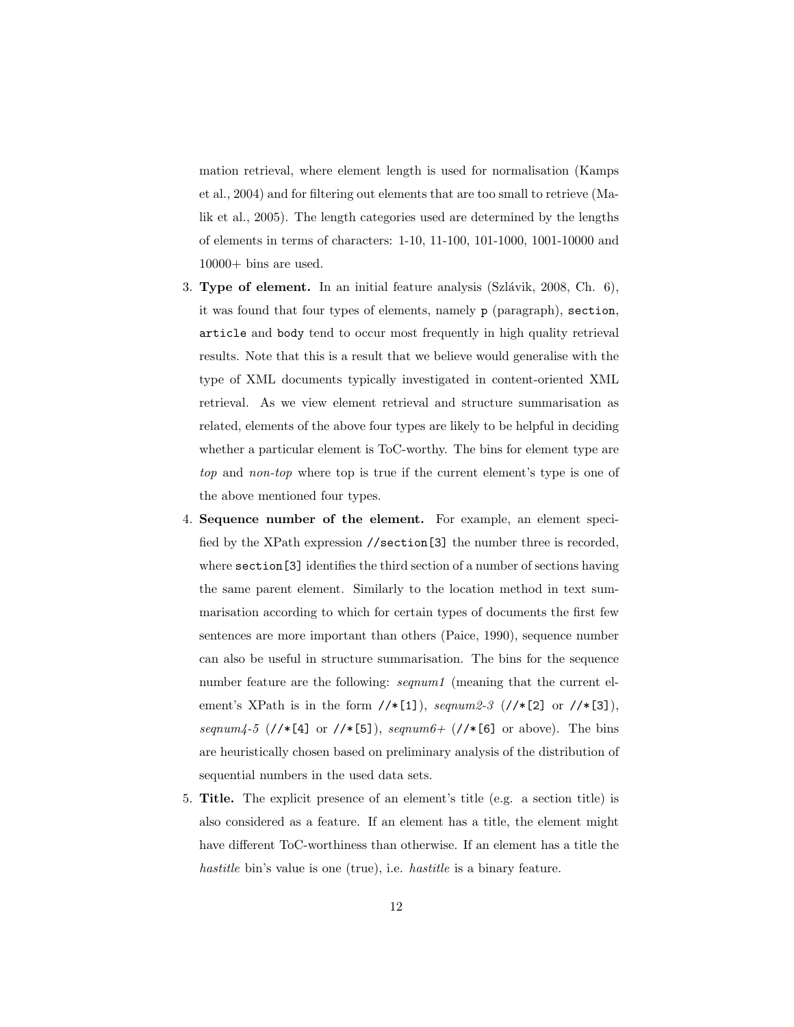mation retrieval, where element length is used for normalisation (Kamps et al., 2004) and for filtering out elements that are too small to retrieve (Malik et al., 2005). The length categories used are determined by the lengths of elements in terms of characters: 1-10, 11-100, 101-1000, 1001-10000 and 10000+ bins are used.

- 3. Type of element. In an initial feature analysis  $(Szlávik, 2008, Ch. 6)$ , it was found that four types of elements, namely p (paragraph), section, article and body tend to occur most frequently in high quality retrieval results. Note that this is a result that we believe would generalise with the type of XML documents typically investigated in content-oriented XML retrieval. As we view element retrieval and structure summarisation as related, elements of the above four types are likely to be helpful in deciding whether a particular element is ToC-worthy. The bins for element type are top and non-top where top is true if the current element's type is one of the above mentioned four types.
- 4. Sequence number of the element. For example, an element specified by the XPath expression //section[3] the number three is recorded, where section [3] identifies the third section of a number of sections having the same parent element. Similarly to the location method in text summarisation according to which for certain types of documents the first few sentences are more important than others (Paice, 1990), sequence number can also be useful in structure summarisation. The bins for the sequence number feature are the following: *seqnum1* (meaning that the current element's XPath is in the form  $//*[1]$ , seqnum2-3  $//*[2]$  or  $//*[3]$ , seqnum4-5 (//\*[4] or //\*[5]), seqnum6+ (//\*[6] or above). The bins are heuristically chosen based on preliminary analysis of the distribution of sequential numbers in the used data sets.
- 5. Title. The explicit presence of an element's title (e.g. a section title) is also considered as a feature. If an element has a title, the element might have different ToC-worthiness than otherwise. If an element has a title the hastitle bin's value is one (true), i.e. hastitle is a binary feature.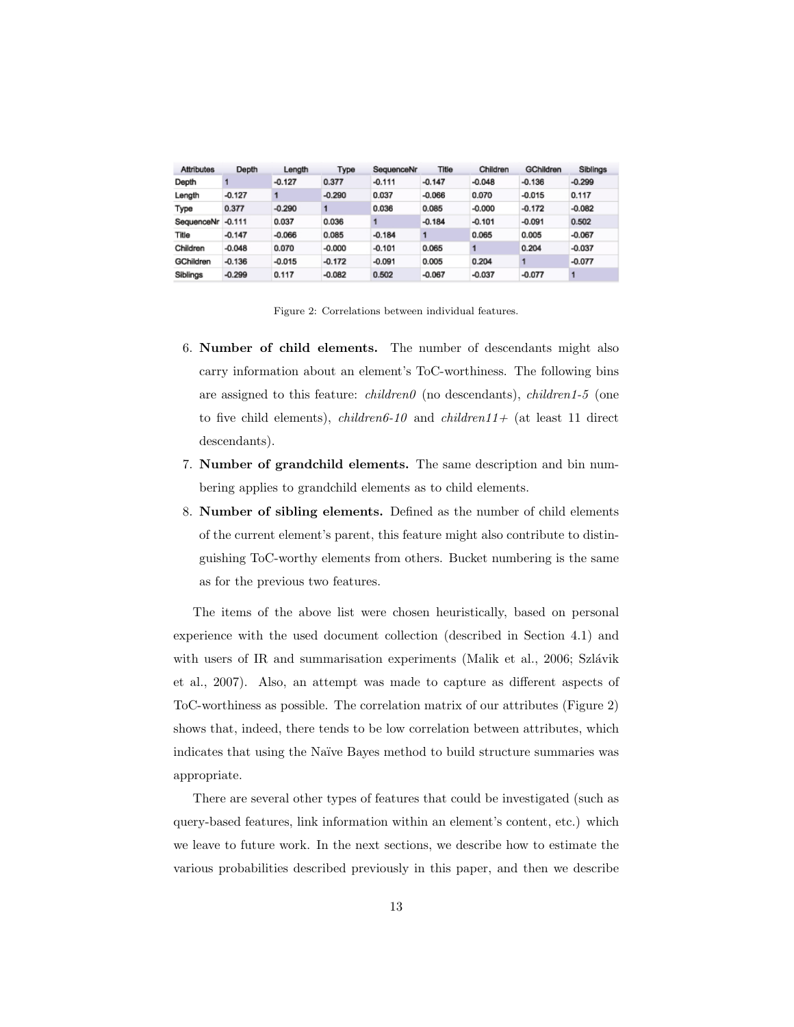| <b>Attributes</b> | Depth    | Length   | Type     | SequenceNr | Title    | Children | <b>GChildren</b> | <b>Siblings</b> |
|-------------------|----------|----------|----------|------------|----------|----------|------------------|-----------------|
| Depth             |          | $-0.127$ | 0.377    | $-0.111$   | $-0.147$ | $-0.048$ | $-0.136$         | $-0.299$        |
| Length            | $-0.127$ |          | $-0.290$ | 0.037      | $-0.066$ | 0.070    | $-0.015$         | 0.117           |
| Type              | 0.377    | $-0.290$ |          | 0.036      | 0.085    | $-0.000$ | $-0.172$         | $-0.082$        |
| SequenceNr        | $-0.111$ | 0.037    | 0.036    |            | $-0.184$ | $-0.101$ | $-0.091$         | 0.502           |
| Title             | $-0.147$ | $-0.066$ | 0.085    | $-0.184$   |          | 0.065    | 0.005            | $-0.067$        |
| Children          | $-0.048$ | 0.070    | $-0.000$ | $-0.101$   | 0.065    |          | 0.204            | $-0.037$        |
| GChildren         | $-0.136$ | $-0.015$ | $-0.172$ | $-0.091$   | 0.005    | 0.204    |                  | $-0.077$        |
| Siblings          | $-0.299$ | 0.117    | $-0.082$ | 0.502      | $-0.067$ | $-0.037$ | $-0.077$         |                 |

Figure 2: Correlations between individual features.

- 6. Number of child elements. The number of descendants might also carry information about an element's ToC-worthiness. The following bins are assigned to this feature: *children0* (no descendants), *children1*-5 (one to five child elements), *children6-10* and *children11+* (at least 11 direct descendants).
- 7. Number of grandchild elements. The same description and bin numbering applies to grandchild elements as to child elements.
- 8. Number of sibling elements. Defined as the number of child elements of the current element's parent, this feature might also contribute to distinguishing ToC-worthy elements from others. Bucket numbering is the same as for the previous two features.

The items of the above list were chosen heuristically, based on personal experience with the used document collection (described in Section 4.1) and with users of IR and summarisation experiments (Malik et al.,  $2006$ ; Szlávik et al., 2007). Also, an attempt was made to capture as different aspects of ToC-worthiness as possible. The correlation matrix of our attributes (Figure 2) shows that, indeed, there tends to be low correlation between attributes, which indicates that using the Naïve Bayes method to build structure summaries was appropriate.

There are several other types of features that could be investigated (such as query-based features, link information within an element's content, etc.) which we leave to future work. In the next sections, we describe how to estimate the various probabilities described previously in this paper, and then we describe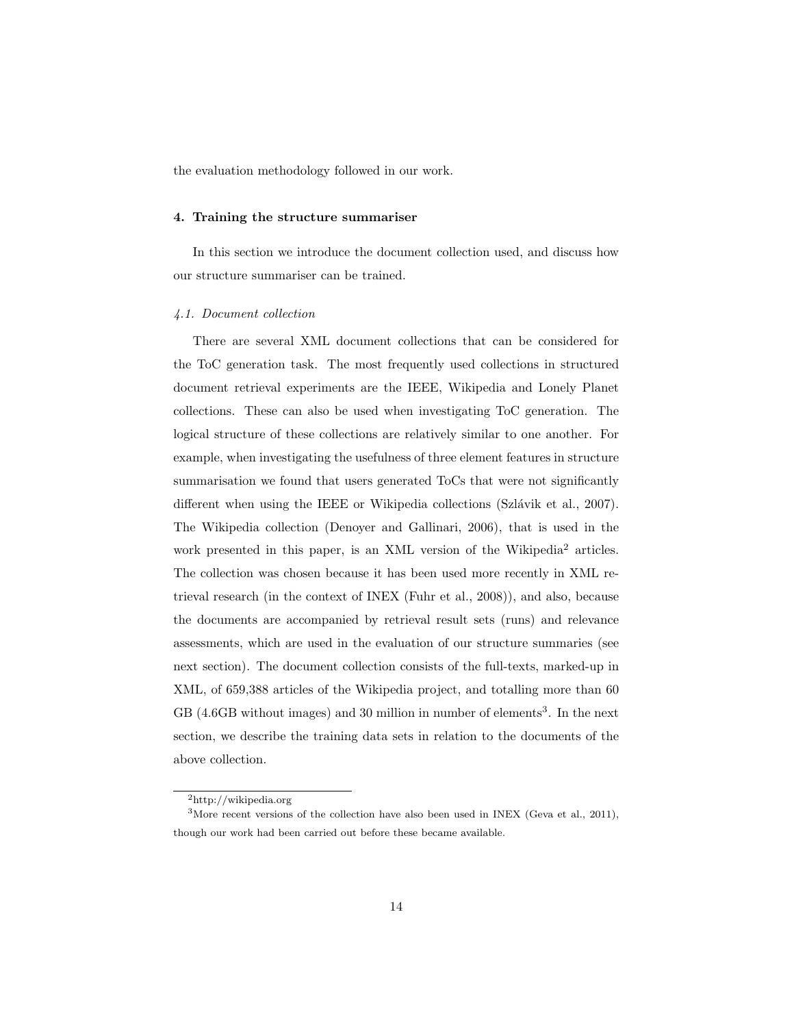the evaluation methodology followed in our work.

## 4. Training the structure summariser

In this section we introduce the document collection used, and discuss how our structure summariser can be trained.

#### 4.1. Document collection

There are several XML document collections that can be considered for the ToC generation task. The most frequently used collections in structured document retrieval experiments are the IEEE, Wikipedia and Lonely Planet collections. These can also be used when investigating ToC generation. The logical structure of these collections are relatively similar to one another. For example, when investigating the usefulness of three element features in structure summarisation we found that users generated ToCs that were not significantly different when using the IEEE or Wikipedia collections (Szlávik et al., 2007). The Wikipedia collection (Denoyer and Gallinari, 2006), that is used in the work presented in this paper, is an XML version of the Wikipedia<sup>2</sup> articles. The collection was chosen because it has been used more recently in XML retrieval research (in the context of INEX (Fuhr et al., 2008)), and also, because the documents are accompanied by retrieval result sets (runs) and relevance assessments, which are used in the evaluation of our structure summaries (see next section). The document collection consists of the full-texts, marked-up in XML, of 659,388 articles of the Wikipedia project, and totalling more than 60  $GB$  (4.6GB without images) and 30 million in number of elements<sup>3</sup>. In the next section, we describe the training data sets in relation to the documents of the above collection.

<sup>2</sup>http://wikipedia.org

<sup>3</sup>More recent versions of the collection have also been used in INEX (Geva et al., 2011), though our work had been carried out before these became available.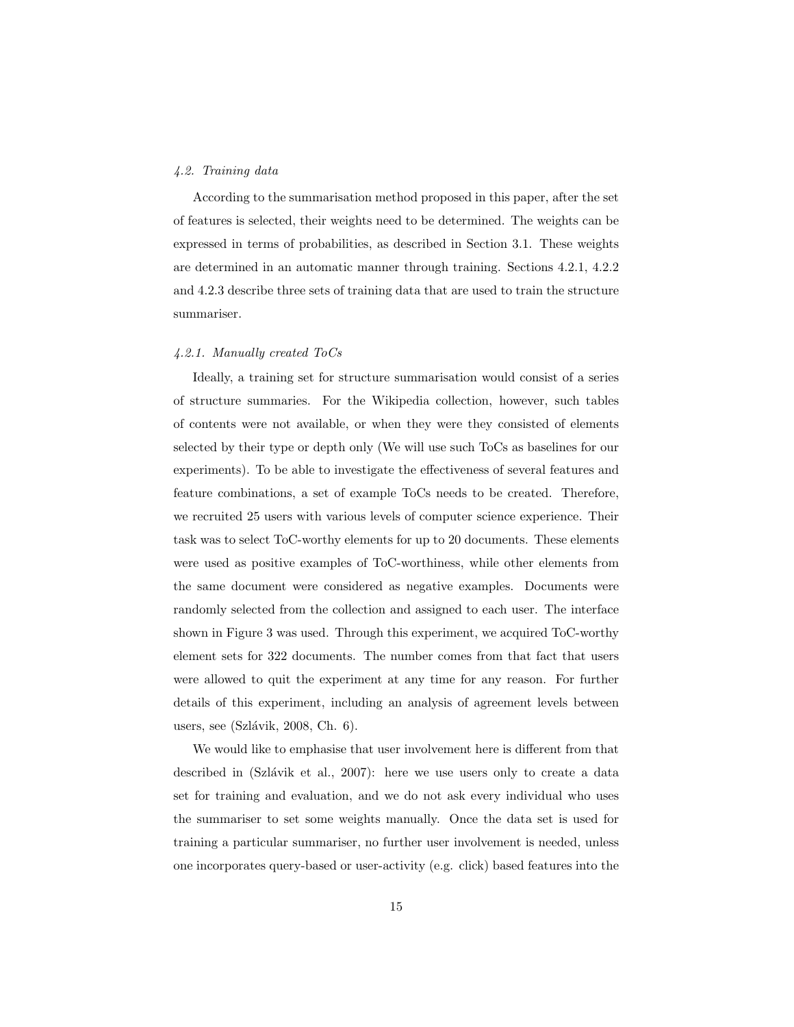## 4.2. Training data

According to the summarisation method proposed in this paper, after the set of features is selected, their weights need to be determined. The weights can be expressed in terms of probabilities, as described in Section 3.1. These weights are determined in an automatic manner through training. Sections 4.2.1, 4.2.2 and 4.2.3 describe three sets of training data that are used to train the structure summariser.

#### 4.2.1. Manually created ToCs

Ideally, a training set for structure summarisation would consist of a series of structure summaries. For the Wikipedia collection, however, such tables of contents were not available, or when they were they consisted of elements selected by their type or depth only (We will use such ToCs as baselines for our experiments). To be able to investigate the effectiveness of several features and feature combinations, a set of example ToCs needs to be created. Therefore, we recruited 25 users with various levels of computer science experience. Their task was to select ToC-worthy elements for up to 20 documents. These elements were used as positive examples of ToC-worthiness, while other elements from the same document were considered as negative examples. Documents were randomly selected from the collection and assigned to each user. The interface shown in Figure 3 was used. Through this experiment, we acquired ToC-worthy element sets for 322 documents. The number comes from that fact that users were allowed to quit the experiment at any time for any reason. For further details of this experiment, including an analysis of agreement levels between users, see (Szlávik, 2008, Ch.  $6$ ).

We would like to emphasise that user involvement here is different from that described in  $(Szlávik et al., 2007)$ : here we use users only to create a data set for training and evaluation, and we do not ask every individual who uses the summariser to set some weights manually. Once the data set is used for training a particular summariser, no further user involvement is needed, unless one incorporates query-based or user-activity (e.g. click) based features into the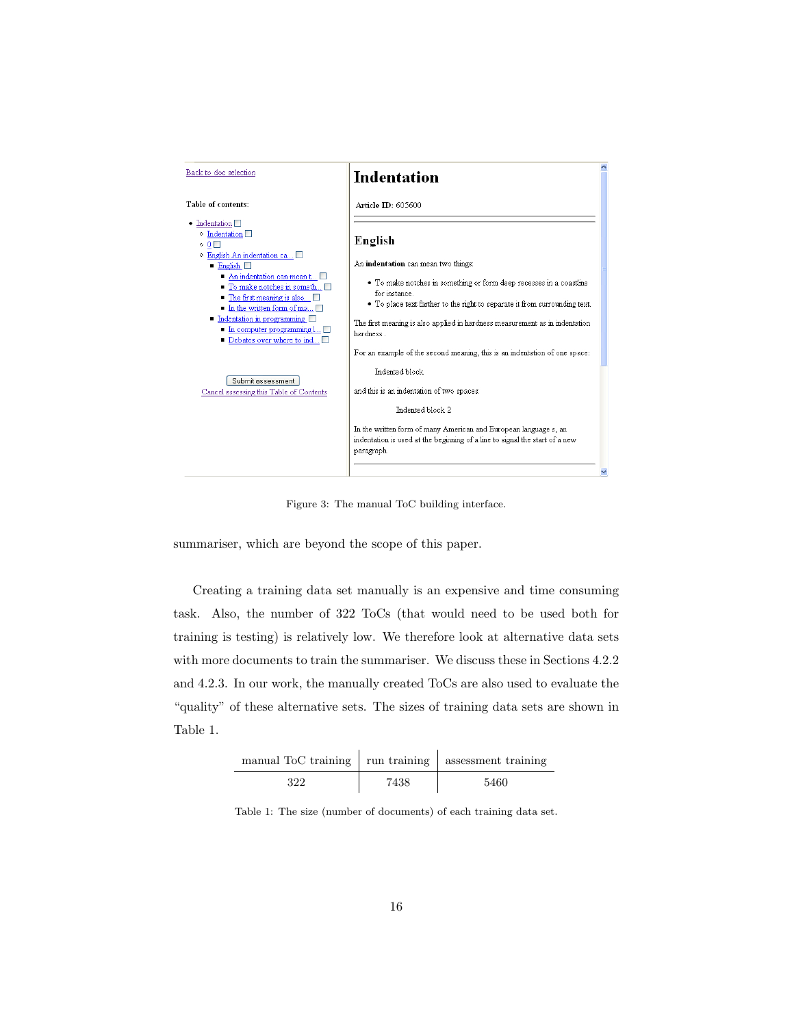

Figure 3: The manual ToC building interface.

summariser, which are beyond the scope of this paper.

Creating a training data set manually is an expensive and time consuming task. Also, the number of 322 ToCs (that would need to be used both for training is testing) is relatively low. We therefore look at alternative data sets with more documents to train the summariser. We discuss these in Sections 4.2.2 and 4.2.3. In our work, the manually created ToCs are also used to evaluate the "quality" of these alternative sets. The sizes of training data sets are shown in Table 1.

| manual ToC training   run training   assessment training |      |      |
|----------------------------------------------------------|------|------|
| 322                                                      | 7438 | 5460 |

Table 1: The size (number of documents) of each training data set.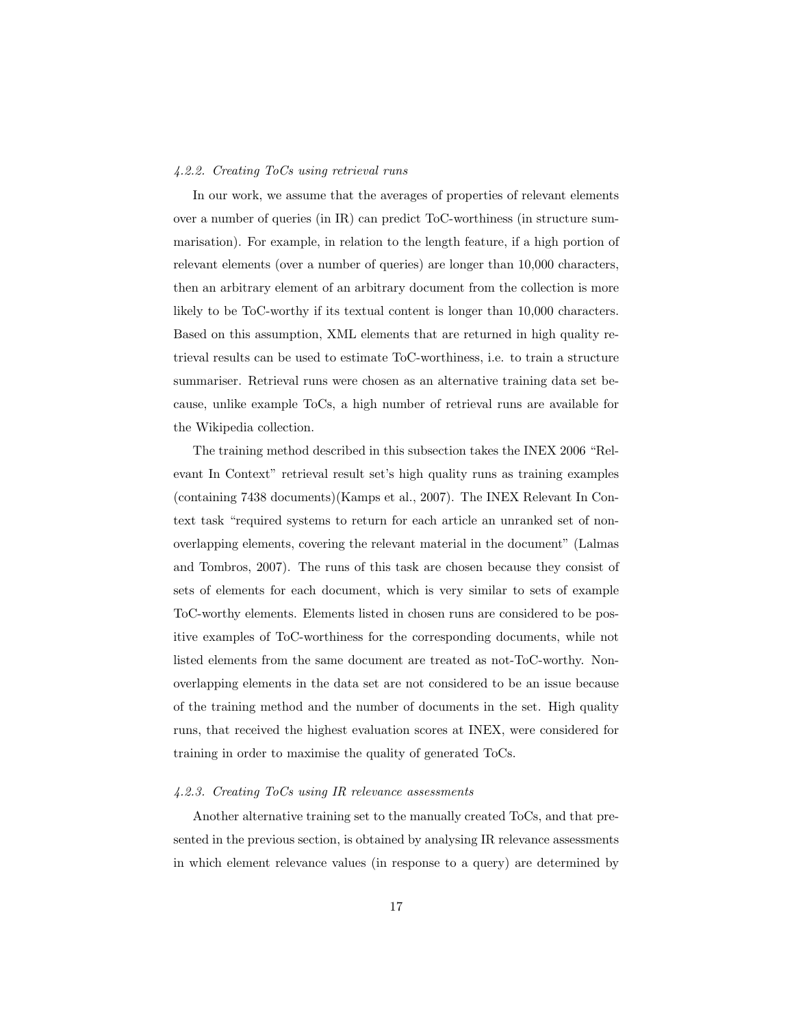#### 4.2.2. Creating ToCs using retrieval runs

In our work, we assume that the averages of properties of relevant elements over a number of queries (in IR) can predict ToC-worthiness (in structure summarisation). For example, in relation to the length feature, if a high portion of relevant elements (over a number of queries) are longer than 10,000 characters, then an arbitrary element of an arbitrary document from the collection is more likely to be ToC-worthy if its textual content is longer than 10,000 characters. Based on this assumption, XML elements that are returned in high quality retrieval results can be used to estimate ToC-worthiness, i.e. to train a structure summariser. Retrieval runs were chosen as an alternative training data set because, unlike example ToCs, a high number of retrieval runs are available for the Wikipedia collection.

The training method described in this subsection takes the INEX 2006 "Relevant In Context" retrieval result set's high quality runs as training examples (containing 7438 documents)(Kamps et al., 2007). The INEX Relevant In Context task "required systems to return for each article an unranked set of nonoverlapping elements, covering the relevant material in the document" (Lalmas and Tombros, 2007). The runs of this task are chosen because they consist of sets of elements for each document, which is very similar to sets of example ToC-worthy elements. Elements listed in chosen runs are considered to be positive examples of ToC-worthiness for the corresponding documents, while not listed elements from the same document are treated as not-ToC-worthy. Nonoverlapping elements in the data set are not considered to be an issue because of the training method and the number of documents in the set. High quality runs, that received the highest evaluation scores at INEX, were considered for training in order to maximise the quality of generated ToCs.

## 4.2.3. Creating ToCs using IR relevance assessments

Another alternative training set to the manually created ToCs, and that presented in the previous section, is obtained by analysing IR relevance assessments in which element relevance values (in response to a query) are determined by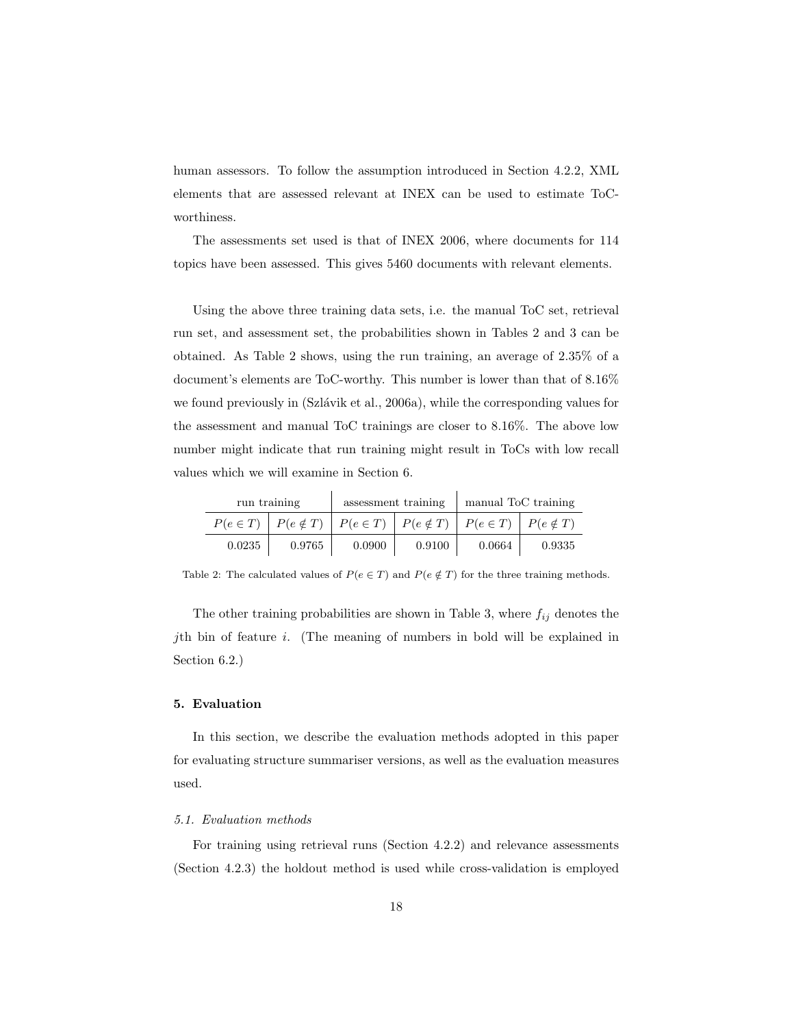human assessors. To follow the assumption introduced in Section 4.2.2, XML elements that are assessed relevant at INEX can be used to estimate ToCworthiness.

The assessments set used is that of INEX 2006, where documents for 114 topics have been assessed. This gives 5460 documents with relevant elements.

Using the above three training data sets, i.e. the manual ToC set, retrieval run set, and assessment set, the probabilities shown in Tables 2 and 3 can be obtained. As Table 2 shows, using the run training, an average of 2.35% of a document's elements are ToC-worthy. This number is lower than that of 8.16% we found previously in (Szlávik et al., 2006a), while the corresponding values for the assessment and manual ToC trainings are closer to 8.16%. The above low number might indicate that run training might result in ToCs with low recall values which we will examine in Section 6.

| run training |                                                                                                                           |        | assessment training | manual ToC training |        |  |
|--------------|---------------------------------------------------------------------------------------------------------------------------|--------|---------------------|---------------------|--------|--|
|              | $P(e \in T)$ $\mid$ $P(e \notin T)$ $\mid$ $P(e \in T)$ $\mid$ $P(e \notin T)$ $\mid$ $P(e \in T)$ $\mid$ $P(e \notin T)$ |        |                     |                     |        |  |
| 0.0235       | 0.9765                                                                                                                    | 0.0900 | 0.9100              | 0.0664              | 0.9335 |  |

Table 2: The calculated values of  $P(e \in T)$  and  $P(e \notin T)$  for the three training methods.

The other training probabilities are shown in Table 3, where  $f_{ij}$  denotes the jth bin of feature i. (The meaning of numbers in bold will be explained in Section 6.2.)

## 5. Evaluation

In this section, we describe the evaluation methods adopted in this paper for evaluating structure summariser versions, as well as the evaluation measures used.

#### 5.1. Evaluation methods

For training using retrieval runs (Section 4.2.2) and relevance assessments (Section 4.2.3) the holdout method is used while cross-validation is employed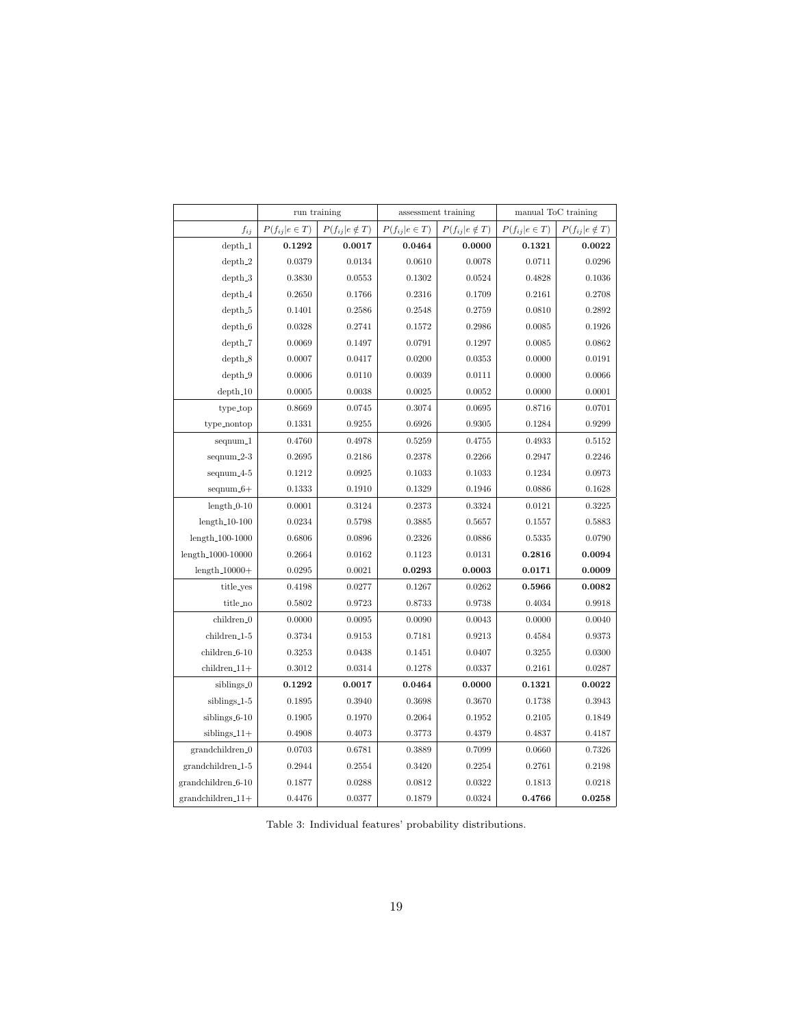|                            | run training        |                        | assessment training |                        | manual ToC training |                        |
|----------------------------|---------------------|------------------------|---------------------|------------------------|---------------------|------------------------|
| $\boldsymbol{f_{ij}}$      | $P(f_{ij} e \in T)$ | $P(f_{ij} e \notin T)$ | $P(f_{ij} e \in T)$ | $P(f_{ij} e \notin T)$ | $P(f_{ij} e \in T)$ | $P(f_{ij} e \notin T)$ |
| $depth_1$                  | 0.1292              | 0.0017                 | 0.0464              | 0.0000                 | 0.1321              | 0.0022                 |
| $depth_2$                  | 0.0379              | 0.0134                 | 0.0610              | 0.0078                 | 0.0711              | 0.0296                 |
| $depth_3$                  | 0.3830              | 0.0553                 | 0.1302              | 0.0524                 | 0.4828              | 0.1036                 |
| $depth_4$                  | 0.2650              | 0.1766                 | 0.2316              | 0.1709                 | 0.2161              | 0.2708                 |
| $depth_5$                  | 0.1401              | 0.2586                 | 0.2548              | 0.2759                 | 0.0810              | 0.2892                 |
| $depth_6$                  | 0.0328              | 0.2741                 | 0.1572              | 0.2986                 | 0.0085              | 0.1926                 |
| $depth_7$                  | 0.0069              | 0.1497                 | 0.0791              | 0.1297                 | 0.0085              | 0.0862                 |
| $depth_8$                  | 0.0007              | 0.0417                 | 0.0200              | 0.0353                 | 0.0000              | 0.0191                 |
| $depth_9$                  | 0.0006              | 0.0110                 | 0.0039              | 0.0111                 | 0.0000              | 0.0066                 |
| $depth_10$                 | 0.0005              | 0.0038                 | 0.0025              | 0.0052                 | 0.0000              | 0.0001                 |
| type_top                   | 0.8669              | 0.0745                 | 0.3074              | 0.0695                 | 0.8716              | 0.0701                 |
| type_nontop                | 0.1331              | 0.9255                 | 0.6926              | 0.9305                 | 0.1284              | 0.9299                 |
| $seqnum_1$                 | 0.4760              | 0.4978                 | 0.5259              | 0.4755                 | 0.4933              | 0.5152                 |
| $seqnum_2-3$               | 0.2695              | 0.2186                 | 0.2378              | 0.2266                 | 0.2947              | 0.2246                 |
| $seqnum_4-5$               | 0.1212              | 0.0925                 | 0.1033              | 0.1033                 | 0.1234              | 0.0973                 |
| $seqnum_6+$                | 0.1333              | 0.1910                 | 0.1329              | 0.1946                 | 0.0886              | 0.1628                 |
| $length_0-10$              | 0.0001              | 0.3124                 | 0.2373              | 0.3324                 | 0.0121              | 0.3225                 |
| $length_10-100$            | 0.0234              | 0.5798                 | 0.3885              | 0.5657                 | 0.1557              | 0.5883                 |
| $length_100-1000$          | 0.6806              | 0.0896                 | 0.2326              | 0.0886                 | 0.5335              | 0.0790                 |
| length_1000-10000          | 0.2664              | 0.0162                 | 0.1123              | 0.0131                 | 0.2816              | 0.0094                 |
| $length_10000+$            | 0.0295              | 0.0021                 | 0.0293              | 0.0003                 | 0.0171              | 0.0009                 |
| title_yes                  | 0.4198              | 0.0277                 | 0.1267              | 0.0262                 | 0.5966              | 0.0082                 |
| title_no                   | 0.5802              | 0.9723                 | 0.8733              | 0.9738                 | 0.4034              | 0.9918                 |
| children_0                 | 0.0000              | 0.0095                 | 0.0090              | 0.0043                 | 0.0000              | 0.0040                 |
| children <sub>-1-5</sub>   | 0.3734              | 0.9153                 | 0.7181              | 0.9213                 | 0.4584              | 0.9373                 |
| children <sub>-6</sub> -10 | 0.3253              | 0.0438                 | 0.1451              | 0.0407                 | 0.3255              | 0.0300                 |
| $children_11+$             | 0.3012              | 0.0314                 | 0.1278              | 0.0337                 | 0.2161              | 0.0287                 |
| siblings_0                 | 0.1292              | 0.0017                 | 0.0464              | 0.0000                 | 0.1321              | 0.0022                 |
| siblings_1-5               | 0.1895              | 0.3940                 | 0.3698              | 0.3670                 | 0.1738              | 0.3943                 |
| siblings_6-10              | 0.1905              | 0.1970                 | 0.2064              | 0.1952                 | 0.2105              | 0.1849                 |
| $siblings_11+$             | 0.4908              | 0.4073                 | 0.3773              | 0.4379                 | 0.4837              | 0.4187                 |
| grandchildren_0            | 0.0703              | 0.6781                 | 0.3889              | 0.7099                 | 0.0660              | 0.7326                 |
| grandchildren_1-5          | 0.2944              | 0.2554                 | 0.3420              | 0.2254                 | 0.2761              | 0.2198                 |
| grandchildren_6-10         | 0.1877              | 0.0288                 | 0.0812              | 0.0322                 | 0.1813              | 0.0218                 |
| $grandchildren_11+$        | 0.4476              | 0.0377                 | 0.1879              | 0.0324                 | 0.4766              | 0.0258                 |

Table 3: Individual features' probability distributions.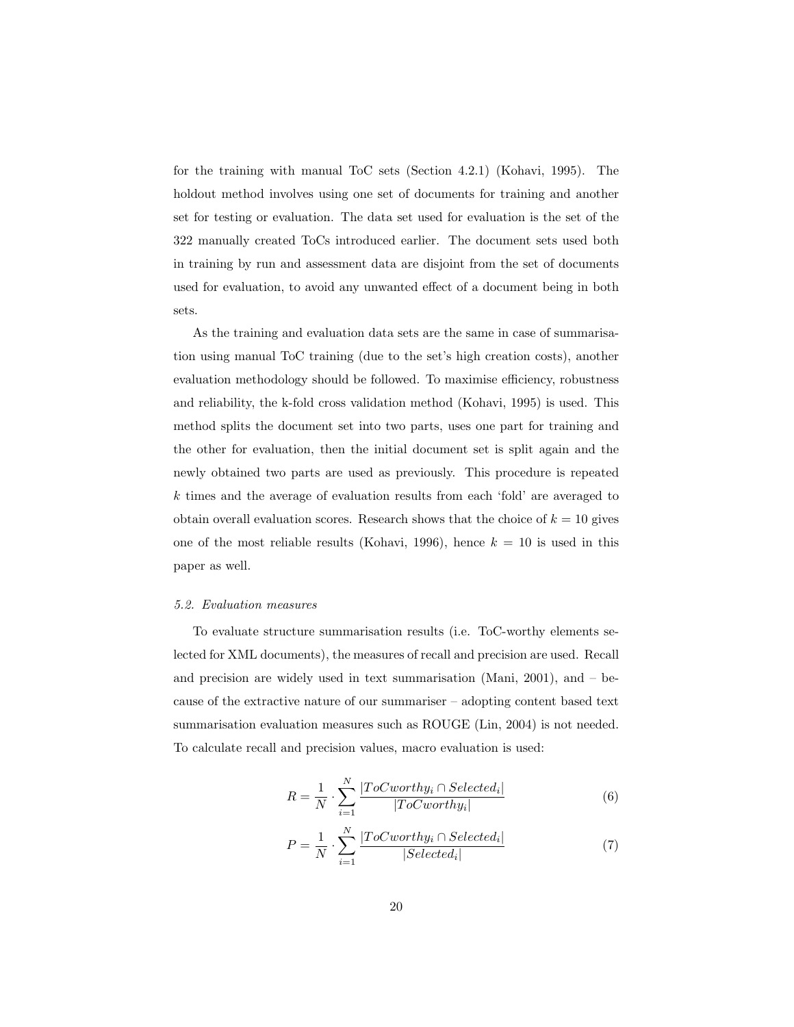for the training with manual ToC sets (Section 4.2.1) (Kohavi, 1995). The holdout method involves using one set of documents for training and another set for testing or evaluation. The data set used for evaluation is the set of the 322 manually created ToCs introduced earlier. The document sets used both in training by run and assessment data are disjoint from the set of documents used for evaluation, to avoid any unwanted effect of a document being in both sets.

As the training and evaluation data sets are the same in case of summarisation using manual ToC training (due to the set's high creation costs), another evaluation methodology should be followed. To maximise efficiency, robustness and reliability, the k-fold cross validation method (Kohavi, 1995) is used. This method splits the document set into two parts, uses one part for training and the other for evaluation, then the initial document set is split again and the newly obtained two parts are used as previously. This procedure is repeated k times and the average of evaluation results from each 'fold' are averaged to obtain overall evaluation scores. Research shows that the choice of  $k = 10$  gives one of the most reliable results (Kohavi, 1996), hence  $k = 10$  is used in this paper as well.

#### 5.2. Evaluation measures

To evaluate structure summarisation results (i.e. ToC-worthy elements selected for XML documents), the measures of recall and precision are used. Recall and precision are widely used in text summarisation (Mani, 2001), and – because of the extractive nature of our summariser – adopting content based text summarisation evaluation measures such as ROUGE (Lin, 2004) is not needed. To calculate recall and precision values, macro evaluation is used:

$$
R = \frac{1}{N} \cdot \sum_{i=1}^{N} \frac{|ToCworthy_i \cap Selected_i|}{|ToCworthy_i|}
$$
(6)

$$
P = \frac{1}{N} \cdot \sum_{i=1}^{N} \frac{|ToCworthy_i \cap Selected_i|}{|Selected_i|}
$$
(7)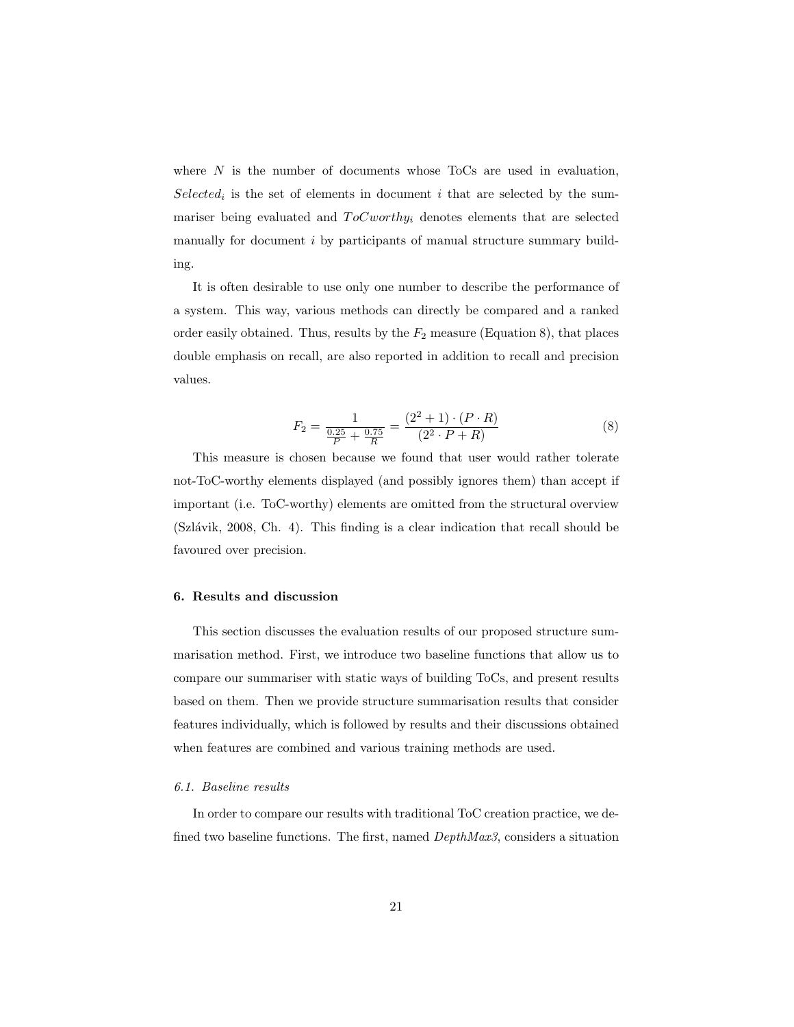where  $N$  is the number of documents whose ToCs are used in evaluation,  $Selected<sub>i</sub>$  is the set of elements in document i that are selected by the summariser being evaluated and  $ToCworthy_i$  denotes elements that are selected manually for document i by participants of manual structure summary building.

It is often desirable to use only one number to describe the performance of a system. This way, various methods can directly be compared and a ranked order easily obtained. Thus, results by the  $F_2$  measure (Equation 8), that places double emphasis on recall, are also reported in addition to recall and precision values.

$$
F_2 = \frac{1}{\frac{0.25}{P} + \frac{0.75}{R}} = \frac{(2^2 + 1) \cdot (P \cdot R)}{(2^2 \cdot P + R)}
$$
(8)

This measure is chosen because we found that user would rather tolerate not-ToC-worthy elements displayed (and possibly ignores them) than accept if important (i.e. ToC-worthy) elements are omitted from the structural overview  $(Szlávik, 2008, Ch. 4)$ . This finding is a clear indication that recall should be favoured over precision.

## 6. Results and discussion

This section discusses the evaluation results of our proposed structure summarisation method. First, we introduce two baseline functions that allow us to compare our summariser with static ways of building ToCs, and present results based on them. Then we provide structure summarisation results that consider features individually, which is followed by results and their discussions obtained when features are combined and various training methods are used.

#### 6.1. Baseline results

In order to compare our results with traditional ToC creation practice, we defined two baseline functions. The first, named DepthMax3, considers a situation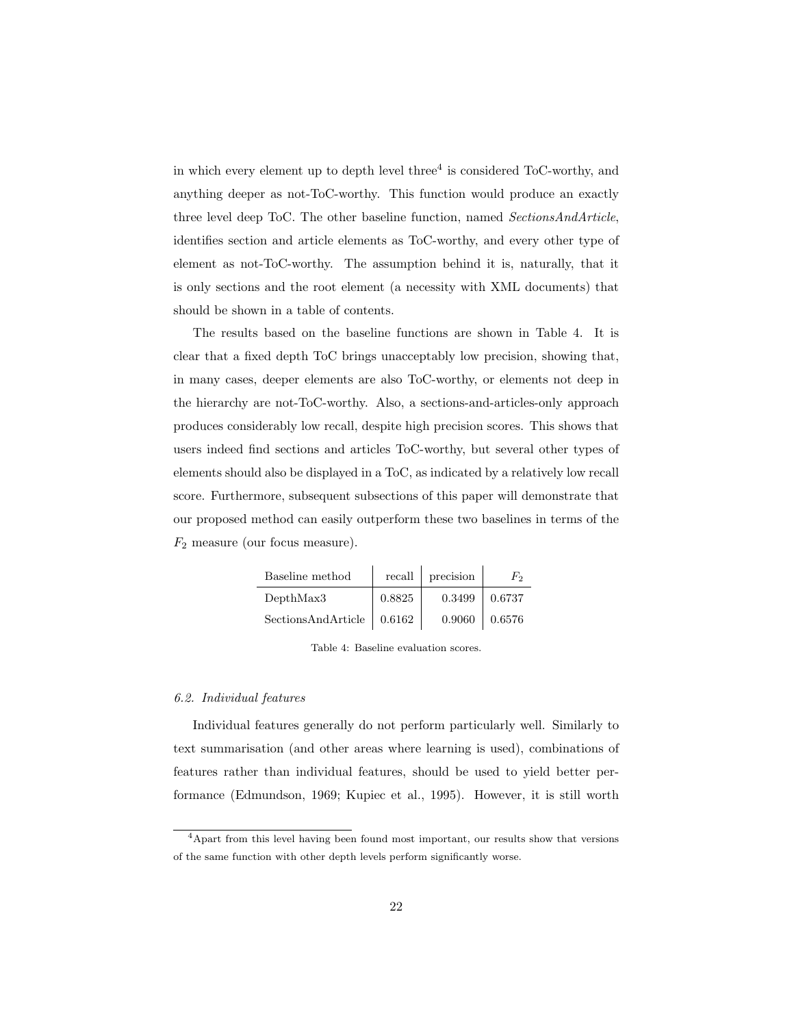in which every element up to depth level three<sup>4</sup> is considered ToC-worthy, and anything deeper as not-ToC-worthy. This function would produce an exactly three level deep ToC. The other baseline function, named SectionsAndArticle, identifies section and article elements as ToC-worthy, and every other type of element as not-ToC-worthy. The assumption behind it is, naturally, that it is only sections and the root element (a necessity with XML documents) that should be shown in a table of contents.

The results based on the baseline functions are shown in Table 4. It is clear that a fixed depth ToC brings unacceptably low precision, showing that, in many cases, deeper elements are also ToC-worthy, or elements not deep in the hierarchy are not-ToC-worthy. Also, a sections-and-articles-only approach produces considerably low recall, despite high precision scores. This shows that users indeed find sections and articles ToC-worthy, but several other types of elements should also be displayed in a ToC, as indicated by a relatively low recall score. Furthermore, subsequent subsections of this paper will demonstrate that our proposed method can easily outperform these two baselines in terms of the  $F_2$  measure (our focus measure).

| Baseline method    | recall | precision | $F_2$  |
|--------------------|--------|-----------|--------|
| DepthMax3          | 0.8825 | 0.3499    | 0.6737 |
| SectionsAndArticle | 0.6162 | 0.9060    | 0.6576 |

Table 4: Baseline evaluation scores.

## 6.2. Individual features

Individual features generally do not perform particularly well. Similarly to text summarisation (and other areas where learning is used), combinations of features rather than individual features, should be used to yield better performance (Edmundson, 1969; Kupiec et al., 1995). However, it is still worth

<sup>4</sup>Apart from this level having been found most important, our results show that versions of the same function with other depth levels perform significantly worse.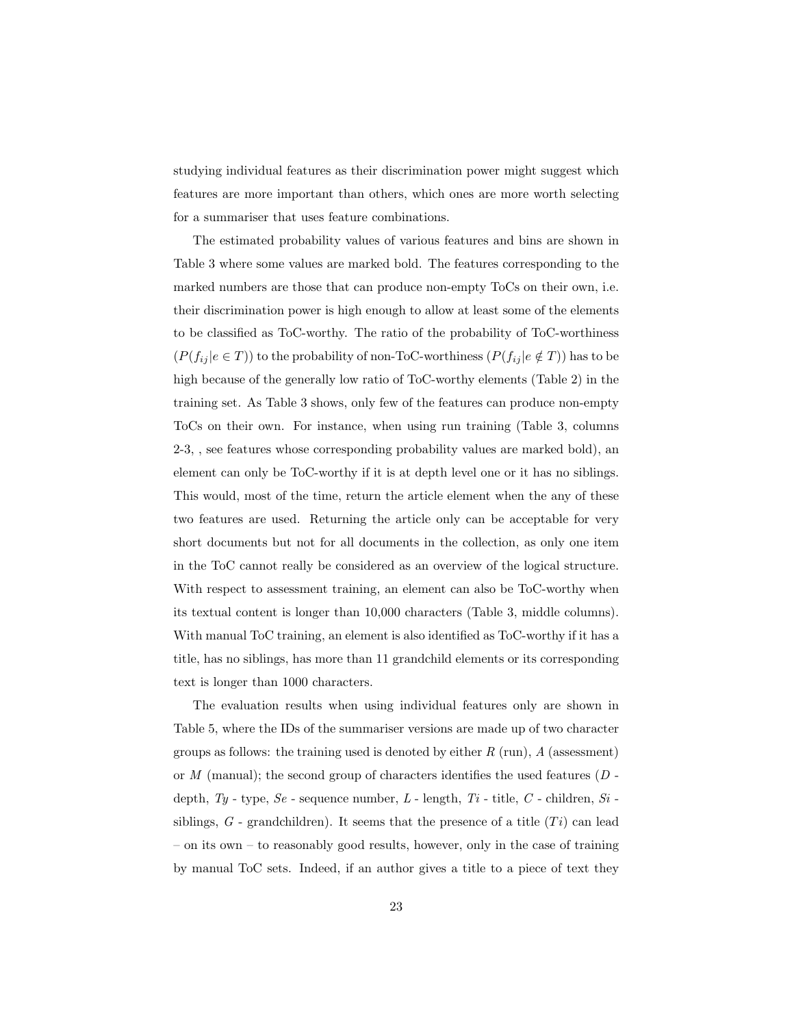studying individual features as their discrimination power might suggest which features are more important than others, which ones are more worth selecting for a summariser that uses feature combinations.

The estimated probability values of various features and bins are shown in Table 3 where some values are marked bold. The features corresponding to the marked numbers are those that can produce non-empty ToCs on their own, i.e. their discrimination power is high enough to allow at least some of the elements to be classified as ToC-worthy. The ratio of the probability of ToC-worthiness  $(P(f_{ij} | e \in T))$  to the probability of non-ToC-worthiness  $(P(f_{ij} | e \notin T))$  has to be high because of the generally low ratio of ToC-worthy elements (Table 2) in the training set. As Table 3 shows, only few of the features can produce non-empty ToCs on their own. For instance, when using run training (Table 3, columns 2-3, , see features whose corresponding probability values are marked bold), an element can only be ToC-worthy if it is at depth level one or it has no siblings. This would, most of the time, return the article element when the any of these two features are used. Returning the article only can be acceptable for very short documents but not for all documents in the collection, as only one item in the ToC cannot really be considered as an overview of the logical structure. With respect to assessment training, an element can also be ToC-worthy when its textual content is longer than 10,000 characters (Table 3, middle columns). With manual ToC training, an element is also identified as ToC-worthy if it has a title, has no siblings, has more than 11 grandchild elements or its corresponding text is longer than 1000 characters.

The evaluation results when using individual features only are shown in Table 5, where the IDs of the summariser versions are made up of two character groups as follows: the training used is denoted by either  $R$  (run),  $A$  (assessment) or  $M$  (manual); the second group of characters identifies the used features  $(D$ depth,  $\mathit{Ty}$  - type,  $\mathit{Se}$  - sequence number,  $L$  - length,  $\mathit{Ti}$  - title,  $C$  - children,  $\mathit{Si}$  siblings,  $G$  - grandchildren). It seems that the presence of a title  $(Ti)$  can lead – on its own – to reasonably good results, however, only in the case of training by manual ToC sets. Indeed, if an author gives a title to a piece of text they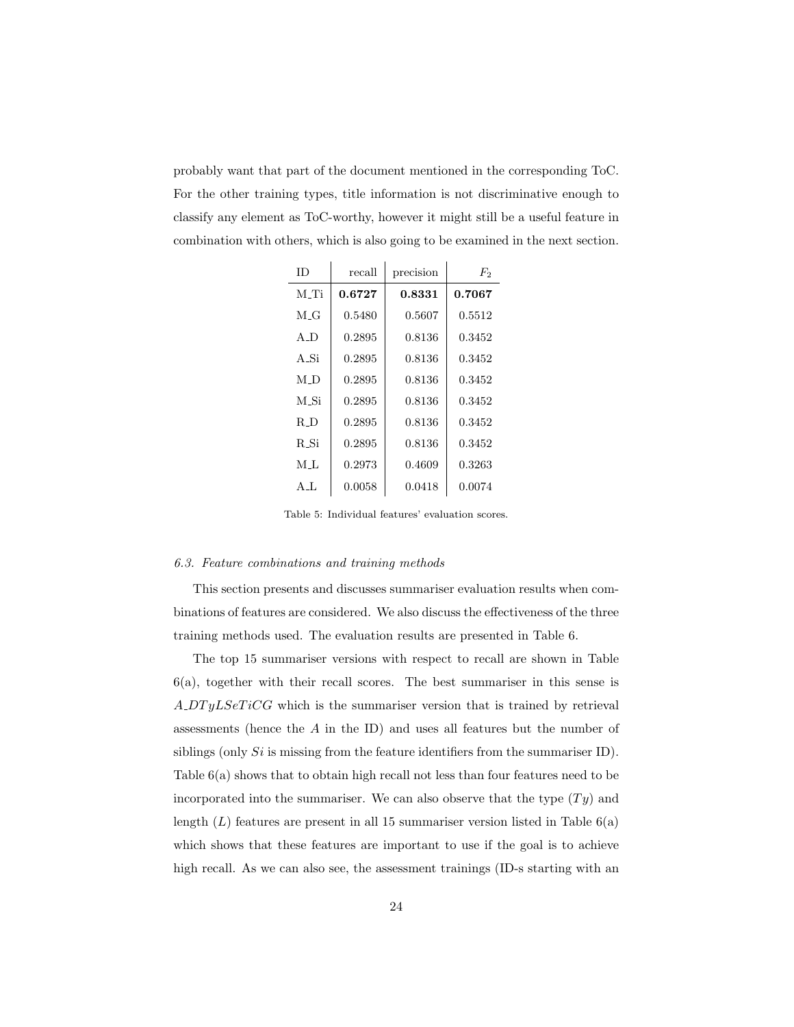probably want that part of the document mentioned in the corresponding ToC. For the other training types, title information is not discriminative enough to classify any element as ToC-worthy, however it might still be a useful feature in combination with others, which is also going to be examined in the next section.

| ΙD     | recall | precision | $F_2$  |
|--------|--------|-----------|--------|
| M Ti   | 0.6727 | 0.8331    | 0.7067 |
| M G    | 0.5480 | 0.5607    | 0.5512 |
| A D    | 0.2895 | 0.8136    | 0.3452 |
| A Si   | 0.2895 | 0.8136    | 0.3452 |
| $M\_D$ | 0.2895 | 0.8136    | 0.3452 |
| M_Si   | 0.2895 | 0.8136    | 0.3452 |
| R_D    | 0.2895 | 0.8136    | 0.3452 |
| R. Si  | 0.2895 | 0.8136    | 0.3452 |
| M L    | 0.2973 | 0.4609    | 0.3263 |
| AL.    | 0.0058 | 0.0418    | 0.0074 |

Table 5: Individual features' evaluation scores.

## 6.3. Feature combinations and training methods

This section presents and discusses summariser evaluation results when combinations of features are considered. We also discuss the effectiveness of the three training methods used. The evaluation results are presented in Table 6.

The top 15 summariser versions with respect to recall are shown in Table 6(a), together with their recall scores. The best summariser in this sense is A DT yLSeT iCG which is the summariser version that is trained by retrieval assessments (hence the A in the ID) and uses all features but the number of siblings (only  $Si$  is missing from the feature identifiers from the summariser ID). Table 6(a) shows that to obtain high recall not less than four features need to be incorporated into the summariser. We can also observe that the type  $(Ty)$  and length  $(L)$  features are present in all 15 summariser version listed in Table  $6(a)$ which shows that these features are important to use if the goal is to achieve high recall. As we can also see, the assessment trainings (ID-s starting with an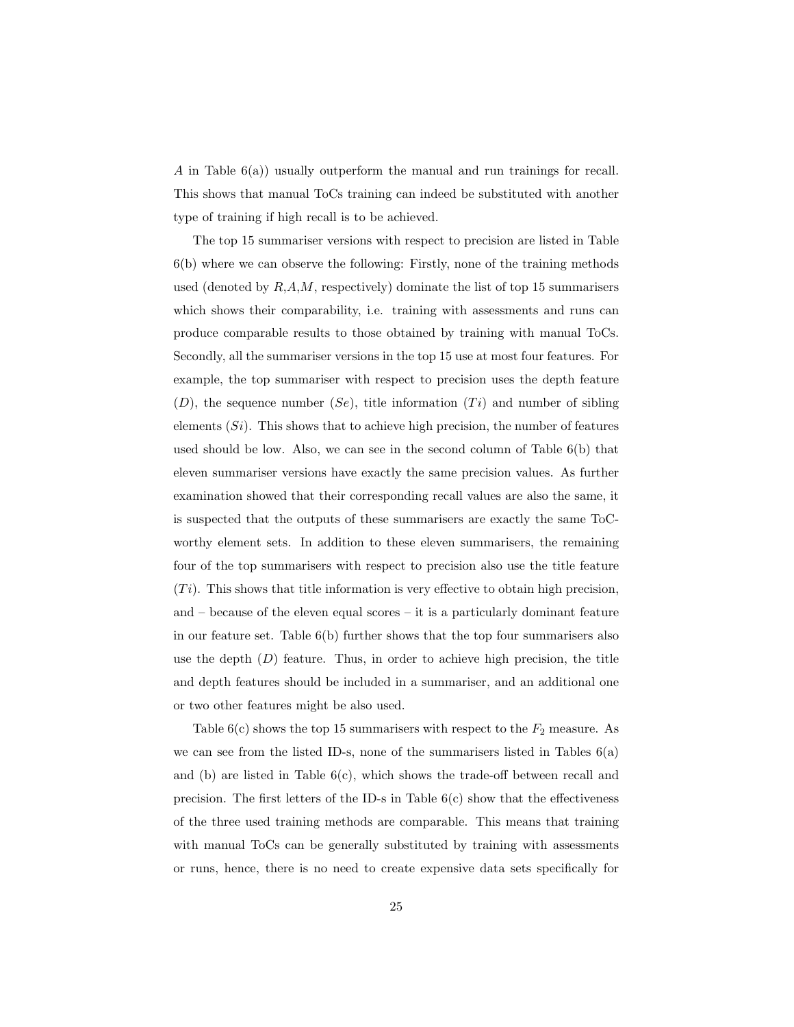A in Table 6(a)) usually outperform the manual and run trainings for recall. This shows that manual ToCs training can indeed be substituted with another type of training if high recall is to be achieved.

The top 15 summariser versions with respect to precision are listed in Table 6(b) where we can observe the following: Firstly, none of the training methods used (denoted by  $R, A, M$ , respectively) dominate the list of top 15 summarisers which shows their comparability, i.e. training with assessments and runs can produce comparable results to those obtained by training with manual ToCs. Secondly, all the summariser versions in the top 15 use at most four features. For example, the top summariser with respect to precision uses the depth feature  $(D)$ , the sequence number  $(Se)$ , title information  $(Ti)$  and number of sibling elements  $(S_i)$ . This shows that to achieve high precision, the number of features used should be low. Also, we can see in the second column of Table 6(b) that eleven summariser versions have exactly the same precision values. As further examination showed that their corresponding recall values are also the same, it is suspected that the outputs of these summarisers are exactly the same ToCworthy element sets. In addition to these eleven summarisers, the remaining four of the top summarisers with respect to precision also use the title feature  $(T_i)$ . This shows that title information is very effective to obtain high precision, and – because of the eleven equal scores – it is a particularly dominant feature in our feature set. Table  $6(b)$  further shows that the top four summarisers also use the depth  $(D)$  feature. Thus, in order to achieve high precision, the title and depth features should be included in a summariser, and an additional one or two other features might be also used.

Table  $6(c)$  shows the top 15 summarisers with respect to the  $F_2$  measure. As we can see from the listed ID-s, none of the summarisers listed in Tables  $6(a)$ and (b) are listed in Table  $6(c)$ , which shows the trade-off between recall and precision. The first letters of the ID-s in Table  $6(c)$  show that the effectiveness of the three used training methods are comparable. This means that training with manual ToCs can be generally substituted by training with assessments or runs, hence, there is no need to create expensive data sets specifically for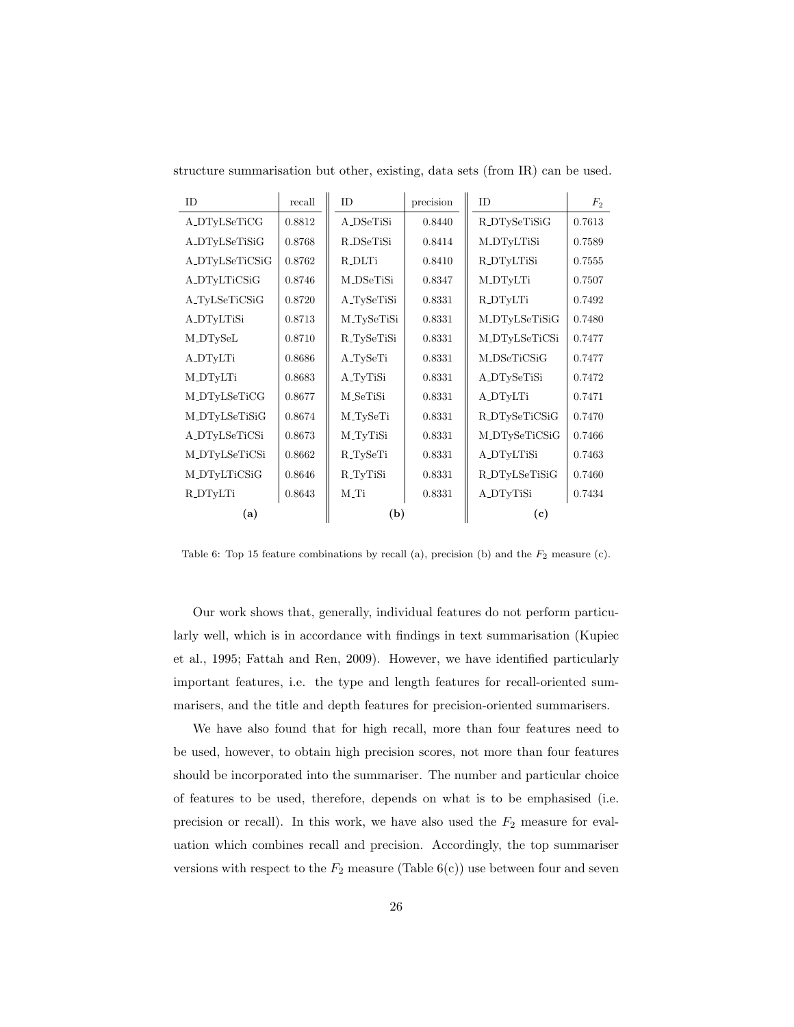| <b>ID</b>      | recall | <b>ID</b>            | precision | <b>ID</b>         | F <sub>2</sub> |
|----------------|--------|----------------------|-----------|-------------------|----------------|
| A_DTyLSeTiCG   | 0.8812 | A_DSeTiSi            | 0.8440    | R_DTySeTiSiG      | 0.7613         |
| A_DTyLSeTiSiG  | 0.8768 | R_DSeTiSi            | 0.8414    | M_DTyLTiSi        | 0.7589         |
| A_DTyLSeTiCSiG | 0.8762 | <b>R_DLTi</b>        | 0.8410    | <b>R_DTyLTiSi</b> | 0.7555         |
| A_DTyLTiCSiG   | 0.8746 | M_DSeTiSi            | 0.8347    | <b>M_DTyLTi</b>   | 0.7507         |
| A_TyLSeTiCSiG  | 0.8720 | A_TySeTiSi           | 0.8331    | R_DTyLTi          | 0.7492         |
| A_DTyLTiSi     | 0.8713 | M_TySeTiSi           | 0.8331    | M_DTyLSeTiSiG     | 0.7480         |
| M_DTySeL       | 0.8710 | R_TySeTiSi           | 0.8331    | M_DTyLSeTiCSi     | 0.7477         |
| A_DTyLTi       | 0.8686 | A_TySeTi             | 0.8331    | M_DSeTiCSiG       | 0.7477         |
| M_DTyLTi       | 0.8683 | A <sub>-TyTiSi</sub> | 0.8331    | A_DTySeTiSi       | 0.7472         |
| M_DTyLSeTiCG   | 0.8677 | M_SeTiSi             | 0.8331    | A_DTyLTi          | 0.7471         |
| M_DTyLSeTiSiG  | 0.8674 | M_TySeTi             | 0.8331    | R_DTySeTiCSiG     | 0.7470         |
| A_DTyLSeTiCSi  | 0.8673 | M_TyTiSi             | 0.8331    | M_DTySeTiCSiG     | 0.7466         |
| M_DTyLSeTiCSi  | 0.8662 | R_TySeTi             | 0.8331    | A_DTyLTiSi        | 0.7463         |
| M_DTyLTiCSiG   | 0.8646 | R_TyTiSi             | 0.8331    | R_DTyLSeTiSiG     | 0.7460         |
| R_DTyLTi       | 0.8643 | M_Ti                 | 0.8331    | A_DTyTiSi         | 0.7434         |
| (a)            |        | (b)                  |           | (c)               |                |

structure summarisation but other, existing, data sets (from IR) can be used.

Table 6: Top 15 feature combinations by recall (a), precision (b) and the  $F_2$  measure (c).

Our work shows that, generally, individual features do not perform particularly well, which is in accordance with findings in text summarisation (Kupiec et al., 1995; Fattah and Ren, 2009). However, we have identified particularly important features, i.e. the type and length features for recall-oriented summarisers, and the title and depth features for precision-oriented summarisers.

We have also found that for high recall, more than four features need to be used, however, to obtain high precision scores, not more than four features should be incorporated into the summariser. The number and particular choice of features to be used, therefore, depends on what is to be emphasised (i.e. precision or recall). In this work, we have also used the  $F_2$  measure for evaluation which combines recall and precision. Accordingly, the top summariser versions with respect to the  $F_2$  measure (Table  $6(c)$ ) use between four and seven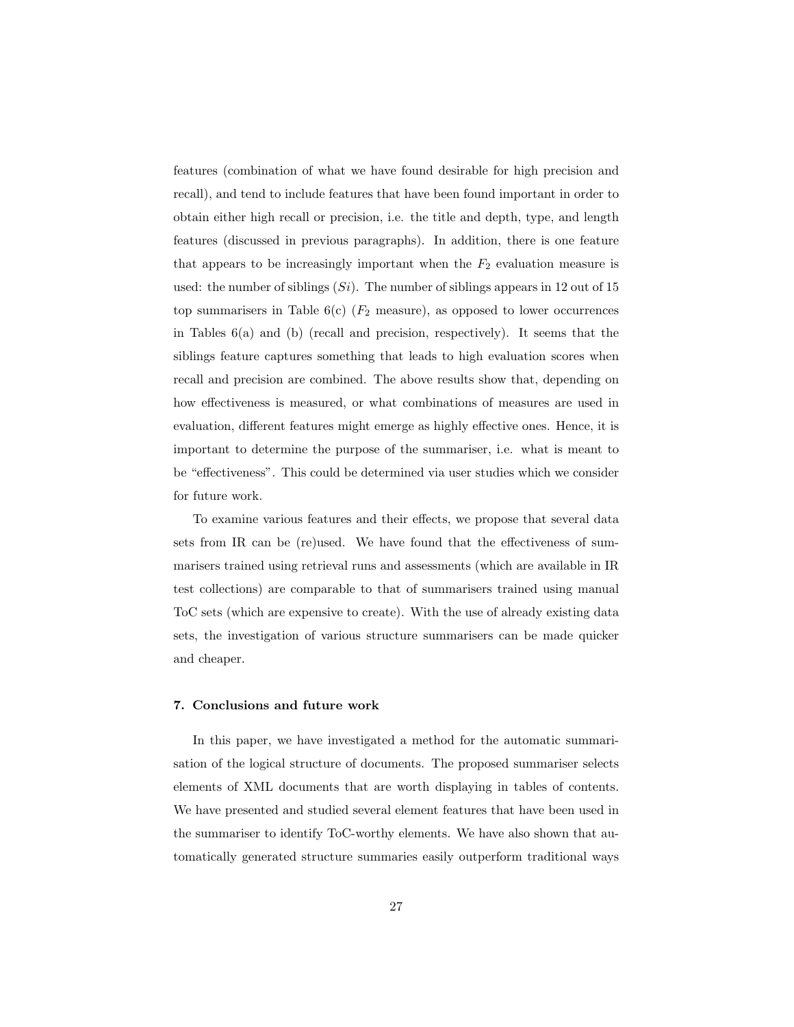features (combination of what we have found desirable for high precision and recall), and tend to include features that have been found important in order to obtain either high recall or precision, i.e. the title and depth, type, and length features (discussed in previous paragraphs). In addition, there is one feature that appears to be increasingly important when the  $F_2$  evaluation measure is used: the number of siblings  $(S_i)$ . The number of siblings appears in 12 out of 15 top summarisers in Table  $6(c)$  ( $F_2$  measure), as opposed to lower occurrences in Tables 6(a) and (b) (recall and precision, respectively). It seems that the siblings feature captures something that leads to high evaluation scores when recall and precision are combined. The above results show that, depending on how effectiveness is measured, or what combinations of measures are used in evaluation, different features might emerge as highly effective ones. Hence, it is important to determine the purpose of the summariser, i.e. what is meant to be "effectiveness". This could be determined via user studies which we consider for future work.

To examine various features and their effects, we propose that several data sets from IR can be (re)used. We have found that the effectiveness of summarisers trained using retrieval runs and assessments (which are available in IR test collections) are comparable to that of summarisers trained using manual ToC sets (which are expensive to create). With the use of already existing data sets, the investigation of various structure summarisers can be made quicker and cheaper.

## 7. Conclusions and future work

In this paper, we have investigated a method for the automatic summarisation of the logical structure of documents. The proposed summariser selects elements of XML documents that are worth displaying in tables of contents. We have presented and studied several element features that have been used in the summariser to identify ToC-worthy elements. We have also shown that automatically generated structure summaries easily outperform traditional ways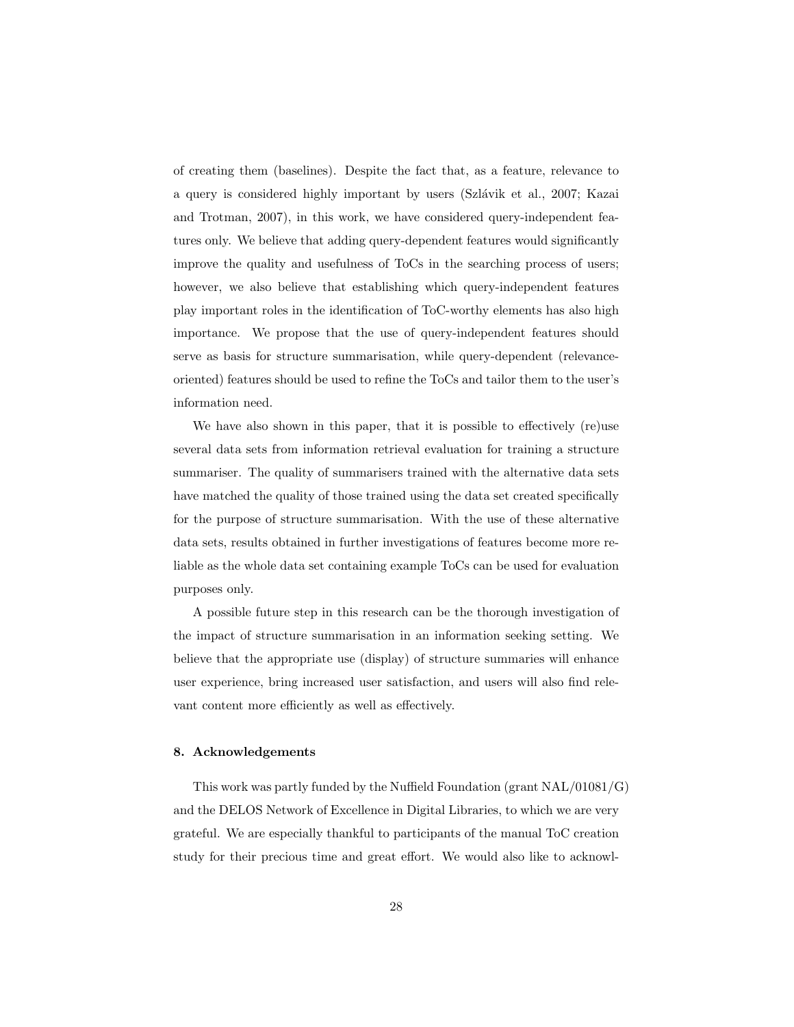of creating them (baselines). Despite the fact that, as a feature, relevance to a query is considered highly important by users (Szlávik et al., 2007; Kazai and Trotman, 2007), in this work, we have considered query-independent features only. We believe that adding query-dependent features would significantly improve the quality and usefulness of ToCs in the searching process of users; however, we also believe that establishing which query-independent features play important roles in the identification of ToC-worthy elements has also high importance. We propose that the use of query-independent features should serve as basis for structure summarisation, while query-dependent (relevanceoriented) features should be used to refine the ToCs and tailor them to the user's information need.

We have also shown in this paper, that it is possible to effectively (re)use several data sets from information retrieval evaluation for training a structure summariser. The quality of summarisers trained with the alternative data sets have matched the quality of those trained using the data set created specifically for the purpose of structure summarisation. With the use of these alternative data sets, results obtained in further investigations of features become more reliable as the whole data set containing example ToCs can be used for evaluation purposes only.

A possible future step in this research can be the thorough investigation of the impact of structure summarisation in an information seeking setting. We believe that the appropriate use (display) of structure summaries will enhance user experience, bring increased user satisfaction, and users will also find relevant content more efficiently as well as effectively.

#### 8. Acknowledgements

This work was partly funded by the Nuffield Foundation (grant NAL/01081/G) and the DELOS Network of Excellence in Digital Libraries, to which we are very grateful. We are especially thankful to participants of the manual ToC creation study for their precious time and great effort. We would also like to acknowl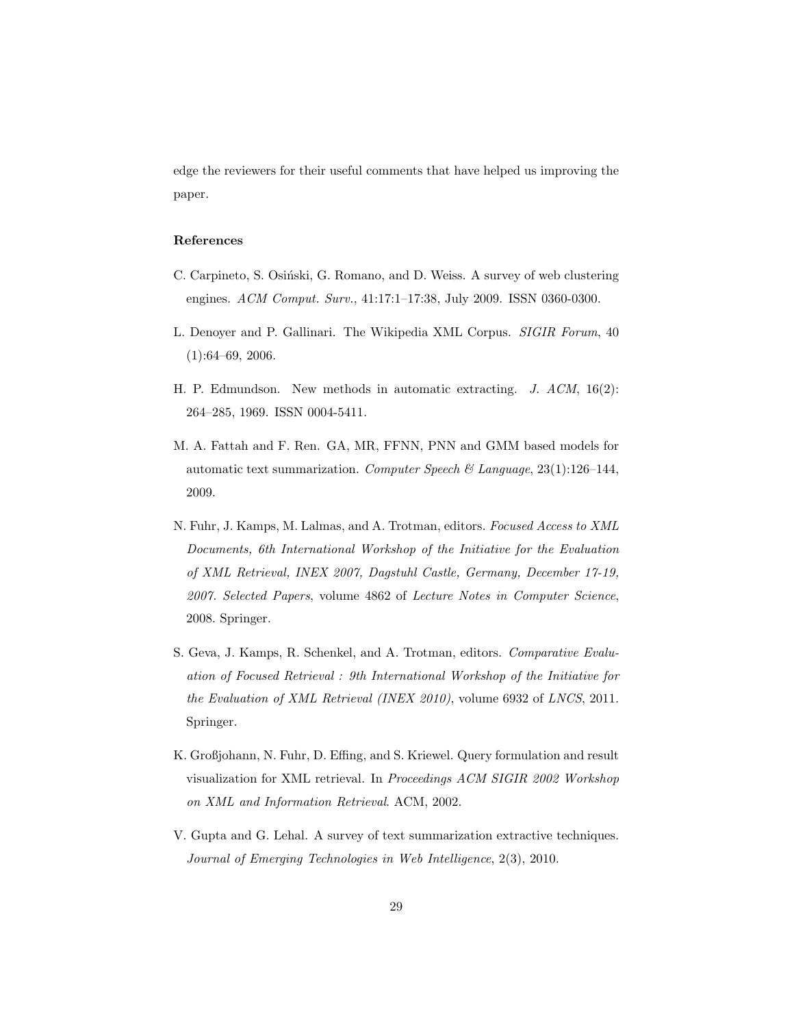edge the reviewers for their useful comments that have helped us improving the paper.

## References

- C. Carpineto, S. Osiński, G. Romano, and D. Weiss. A survey of web clustering engines. ACM Comput. Surv., 41:17:1–17:38, July 2009. ISSN 0360-0300.
- L. Denoyer and P. Gallinari. The Wikipedia XML Corpus. SIGIR Forum, 40 (1):64–69, 2006.
- H. P. Edmundson. New methods in automatic extracting. J. ACM, 16(2): 264–285, 1969. ISSN 0004-5411.
- M. A. Fattah and F. Ren. GA, MR, FFNN, PNN and GMM based models for automatic text summarization. Computer Speech & Language, 23(1):126–144, 2009.
- N. Fuhr, J. Kamps, M. Lalmas, and A. Trotman, editors. Focused Access to XML Documents, 6th International Workshop of the Initiative for the Evaluation of XML Retrieval, INEX 2007, Dagstuhl Castle, Germany, December 17-19, 2007. Selected Papers, volume 4862 of Lecture Notes in Computer Science, 2008. Springer.
- S. Geva, J. Kamps, R. Schenkel, and A. Trotman, editors. Comparative Evaluation of Focused Retrieval : 9th International Workshop of the Initiative for the Evaluation of XML Retrieval (INEX 2010), volume 6932 of LNCS, 2011. Springer.
- K. Großjohann, N. Fuhr, D. Effing, and S. Kriewel. Query formulation and result visualization for XML retrieval. In Proceedings ACM SIGIR 2002 Workshop on XML and Information Retrieval. ACM, 2002.
- V. Gupta and G. Lehal. A survey of text summarization extractive techniques. Journal of Emerging Technologies in Web Intelligence, 2(3), 2010.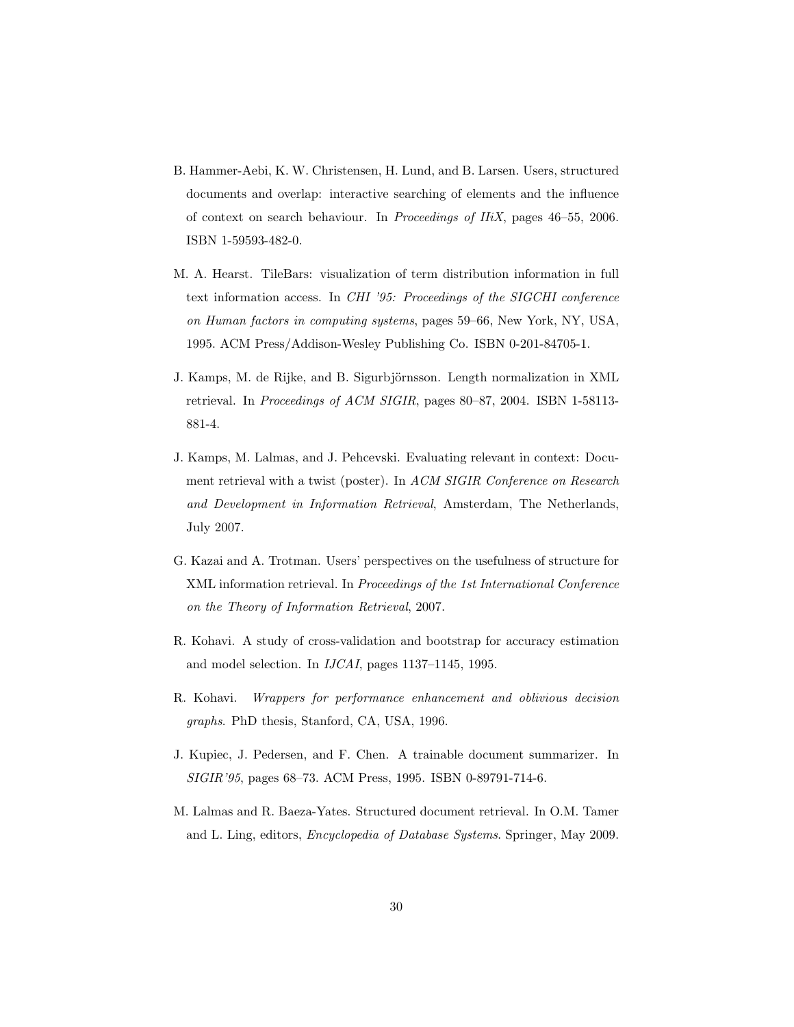- B. Hammer-Aebi, K. W. Christensen, H. Lund, and B. Larsen. Users, structured documents and overlap: interactive searching of elements and the influence of context on search behaviour. In Proceedings of IIiX, pages 46–55, 2006. ISBN 1-59593-482-0.
- M. A. Hearst. TileBars: visualization of term distribution information in full text information access. In CHI '95: Proceedings of the SIGCHI conference on Human factors in computing systems, pages 59–66, New York, NY, USA, 1995. ACM Press/Addison-Wesley Publishing Co. ISBN 0-201-84705-1.
- J. Kamps, M. de Rijke, and B. Sigurbjörnsson. Length normalization in XML retrieval. In Proceedings of ACM SIGIR, pages 80–87, 2004. ISBN 1-58113- 881-4.
- J. Kamps, M. Lalmas, and J. Pehcevski. Evaluating relevant in context: Document retrieval with a twist (poster). In ACM SIGIR Conference on Research and Development in Information Retrieval, Amsterdam, The Netherlands, July 2007.
- G. Kazai and A. Trotman. Users' perspectives on the usefulness of structure for XML information retrieval. In Proceedings of the 1st International Conference on the Theory of Information Retrieval, 2007.
- R. Kohavi. A study of cross-validation and bootstrap for accuracy estimation and model selection. In IJCAI, pages 1137–1145, 1995.
- R. Kohavi. Wrappers for performance enhancement and oblivious decision graphs. PhD thesis, Stanford, CA, USA, 1996.
- J. Kupiec, J. Pedersen, and F. Chen. A trainable document summarizer. In SIGIR'95, pages 68–73. ACM Press, 1995. ISBN 0-89791-714-6.
- M. Lalmas and R. Baeza-Yates. Structured document retrieval. In O.M. Tamer and L. Ling, editors, Encyclopedia of Database Systems. Springer, May 2009.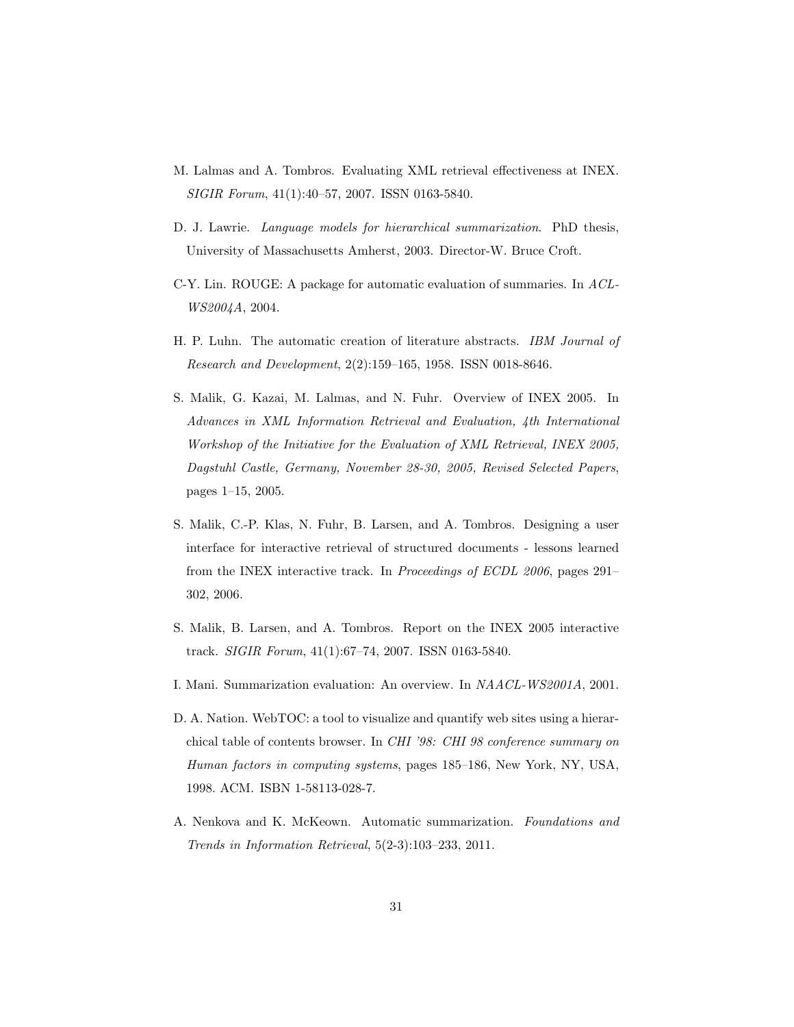- M. Lalmas and A. Tombros. Evaluating XML retrieval effectiveness at INEX. SIGIR Forum, 41(1):40–57, 2007. ISSN 0163-5840.
- D. J. Lawrie. Language models for hierarchical summarization. PhD thesis, University of Massachusetts Amherst, 2003. Director-W. Bruce Croft.
- C-Y. Lin. ROUGE: A package for automatic evaluation of summaries. In ACL-WS2004A, 2004.
- H. P. Luhn. The automatic creation of literature abstracts. IBM Journal of Research and Development, 2(2):159–165, 1958. ISSN 0018-8646.
- S. Malik, G. Kazai, M. Lalmas, and N. Fuhr. Overview of INEX 2005. In Advances in XML Information Retrieval and Evaluation, 4th International Workshop of the Initiative for the Evaluation of XML Retrieval, INEX 2005, Dagstuhl Castle, Germany, November 28-30, 2005, Revised Selected Papers, pages 1–15, 2005.
- S. Malik, C.-P. Klas, N. Fuhr, B. Larsen, and A. Tombros. Designing a user interface for interactive retrieval of structured documents - lessons learned from the INEX interactive track. In Proceedings of ECDL 2006, pages 291– 302, 2006.
- S. Malik, B. Larsen, and A. Tombros. Report on the INEX 2005 interactive track. SIGIR Forum, 41(1):67–74, 2007. ISSN 0163-5840.
- I. Mani. Summarization evaluation: An overview. In NAACL-WS2001A, 2001.
- D. A. Nation. WebTOC: a tool to visualize and quantify web sites using a hierarchical table of contents browser. In CHI '98: CHI 98 conference summary on Human factors in computing systems, pages 185–186, New York, NY, USA, 1998. ACM. ISBN 1-58113-028-7.
- A. Nenkova and K. McKeown. Automatic summarization. Foundations and Trends in Information Retrieval, 5(2-3):103–233, 2011.